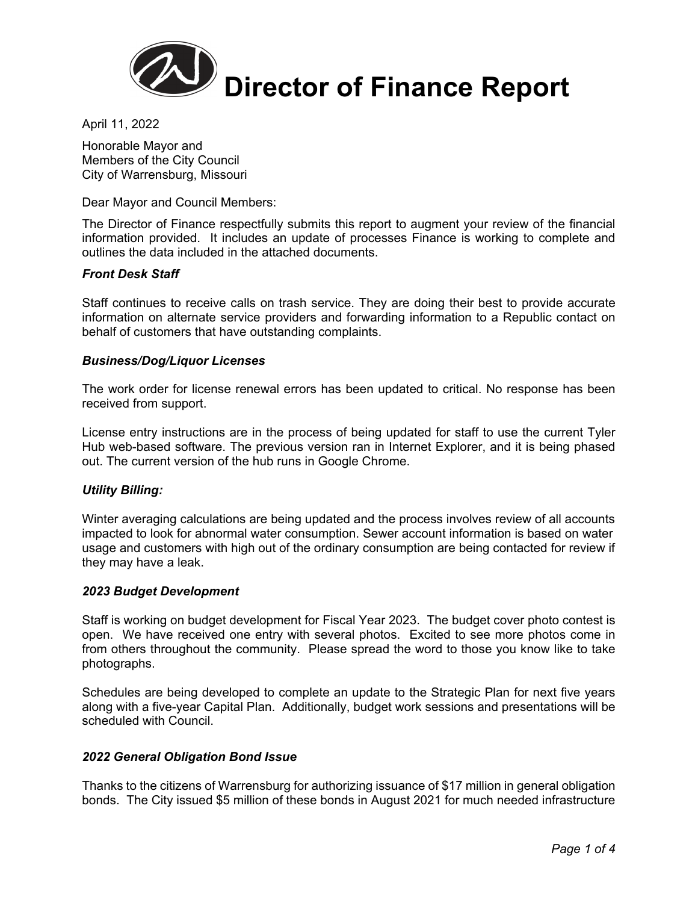

April 11, 2022

Honorable Mayor and Members of the City Council City of Warrensburg, Missouri

Dear Mayor and Council Members:

The Director of Finance respectfully submits this report to augment your review of the financial information provided. It includes an update of processes Finance is working to complete and outlines the data included in the attached documents.

### *Front Desk Staff*

Staff continues to receive calls on trash service. They are doing their best to provide accurate information on alternate service providers and forwarding information to a Republic contact on behalf of customers that have outstanding complaints.

### *Business/Dog/Liquor Licenses*

The work order for license renewal errors has been updated to critical. No response has been received from support.

License entry instructions are in the process of being updated for staff to use the current Tyler Hub web-based software. The previous version ran in Internet Explorer, and it is being phased out. The current version of the hub runs in Google Chrome.

### *Utility Billing:*

Winter averaging calculations are being updated and the process involves review of all accounts impacted to look for abnormal water consumption. Sewer account information is based on water usage and customers with high out of the ordinary consumption are being contacted for review if they may have a leak.

### *2023 Budget Development*

Staff is working on budget development for Fiscal Year 2023. The budget cover photo contest is open. We have received one entry with several photos. Excited to see more photos come in from others throughout the community. Please spread the word to those you know like to take photographs.

Schedules are being developed to complete an update to the Strategic Plan for next five years along with a five-year Capital Plan. Additionally, budget work sessions and presentations will be scheduled with Council.

### *2022 General Obligation Bond Issue*

Thanks to the citizens of Warrensburg for authorizing issuance of \$17 million in general obligation bonds. The City issued \$5 million of these bonds in August 2021 for much needed infrastructure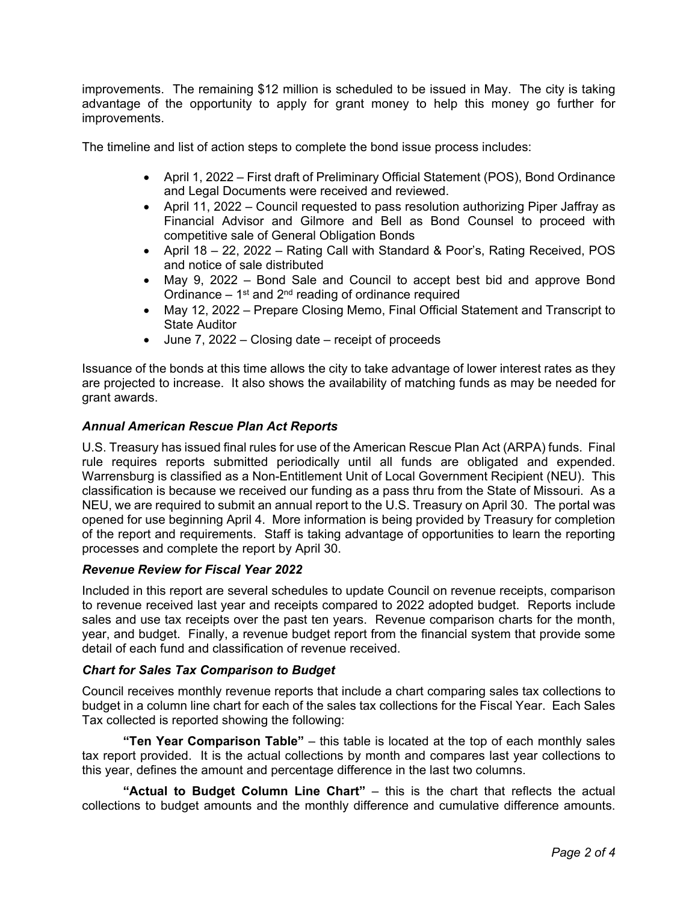improvements. The remaining \$12 million is scheduled to be issued in May. The city is taking advantage of the opportunity to apply for grant money to help this money go further for improvements.

The timeline and list of action steps to complete the bond issue process includes:

- April 1, 2022 First draft of Preliminary Official Statement (POS), Bond Ordinance and Legal Documents were received and reviewed.
- April 11, 2022 Council requested to pass resolution authorizing Piper Jaffray as Financial Advisor and Gilmore and Bell as Bond Counsel to proceed with competitive sale of General Obligation Bonds
- April 18 22, 2022 Rating Call with Standard & Poor's, Rating Received, POS and notice of sale distributed
- May 9, 2022 Bond Sale and Council to accept best bid and approve Bond Ordinance  $-1<sup>st</sup>$  and  $2<sup>nd</sup>$  reading of ordinance required
- May 12, 2022 Prepare Closing Memo, Final Official Statement and Transcript to State Auditor
- June 7, 2022 Closing date receipt of proceeds

Issuance of the bonds at this time allows the city to take advantage of lower interest rates as they are projected to increase. It also shows the availability of matching funds as may be needed for grant awards.

### *Annual American Rescue Plan Act Reports*

U.S. Treasury has issued final rules for use of the American Rescue Plan Act (ARPA) funds. Final rule requires reports submitted periodically until all funds are obligated and expended. Warrensburg is classified as a Non-Entitlement Unit of Local Government Recipient (NEU). This classification is because we received our funding as a pass thru from the State of Missouri. As a NEU, we are required to submit an annual report to the U.S. Treasury on April 30. The portal was opened for use beginning April 4. More information is being provided by Treasury for completion of the report and requirements. Staff is taking advantage of opportunities to learn the reporting processes and complete the report by April 30.

### *Revenue Review for Fiscal Year 2022*

Included in this report are several schedules to update Council on revenue receipts, comparison to revenue received last year and receipts compared to 2022 adopted budget. Reports include sales and use tax receipts over the past ten years. Revenue comparison charts for the month, year, and budget. Finally, a revenue budget report from the financial system that provide some detail of each fund and classification of revenue received.

### *Chart for Sales Tax Comparison to Budget*

Council receives monthly revenue reports that include a chart comparing sales tax collections to budget in a column line chart for each of the sales tax collections for the Fiscal Year. Each Sales Tax collected is reported showing the following:

**"Ten Year Comparison Table"** – this table is located at the top of each monthly sales tax report provided. It is the actual collections by month and compares last year collections to this year, defines the amount and percentage difference in the last two columns.

**"Actual to Budget Column Line Chart"** – this is the chart that reflects the actual collections to budget amounts and the monthly difference and cumulative difference amounts.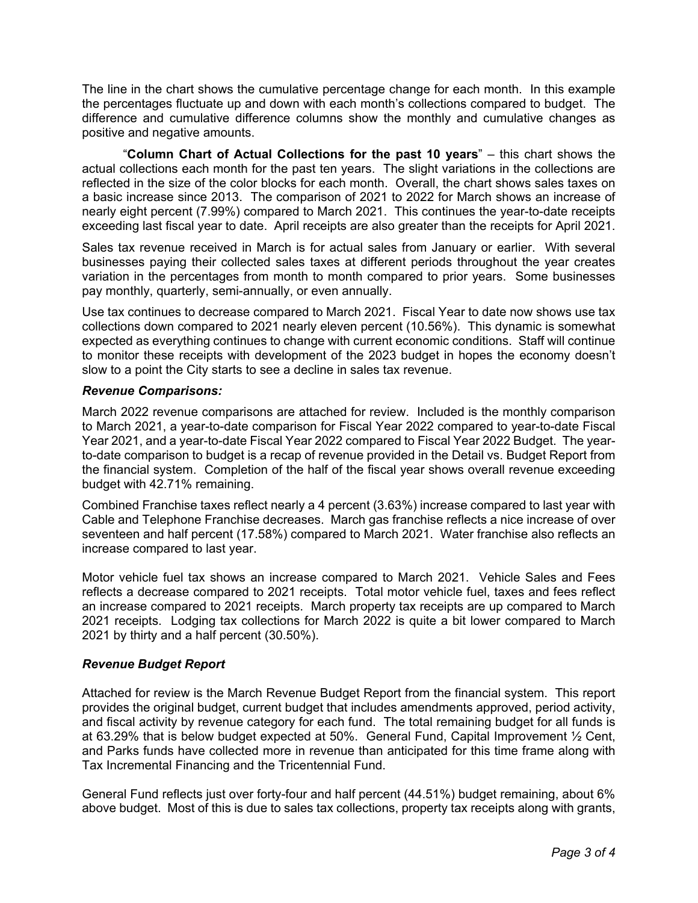The line in the chart shows the cumulative percentage change for each month. In this example the percentages fluctuate up and down with each month's collections compared to budget. The difference and cumulative difference columns show the monthly and cumulative changes as positive and negative amounts.

 "**Column Chart of Actual Collections for the past 10 years**" – this chart shows the actual collections each month for the past ten years. The slight variations in the collections are reflected in the size of the color blocks for each month. Overall, the chart shows sales taxes on a basic increase since 2013. The comparison of 2021 to 2022 for March shows an increase of nearly eight percent (7.99%) compared to March 2021. This continues the year-to-date receipts exceeding last fiscal year to date. April receipts are also greater than the receipts for April 2021.

Sales tax revenue received in March is for actual sales from January or earlier. With several businesses paying their collected sales taxes at different periods throughout the year creates variation in the percentages from month to month compared to prior years. Some businesses pay monthly, quarterly, semi-annually, or even annually.

Use tax continues to decrease compared to March 2021. Fiscal Year to date now shows use tax collections down compared to 2021 nearly eleven percent (10.56%). This dynamic is somewhat expected as everything continues to change with current economic conditions. Staff will continue to monitor these receipts with development of the 2023 budget in hopes the economy doesn't slow to a point the City starts to see a decline in sales tax revenue.

### *Revenue Comparisons:*

March 2022 revenue comparisons are attached for review. Included is the monthly comparison to March 2021, a year-to-date comparison for Fiscal Year 2022 compared to year-to-date Fiscal Year 2021, and a year-to-date Fiscal Year 2022 compared to Fiscal Year 2022 Budget. The yearto-date comparison to budget is a recap of revenue provided in the Detail vs. Budget Report from the financial system. Completion of the half of the fiscal year shows overall revenue exceeding budget with 42.71% remaining.

Combined Franchise taxes reflect nearly a 4 percent (3.63%) increase compared to last year with Cable and Telephone Franchise decreases. March gas franchise reflects a nice increase of over seventeen and half percent (17.58%) compared to March 2021. Water franchise also reflects an increase compared to last year.

Motor vehicle fuel tax shows an increase compared to March 2021. Vehicle Sales and Fees reflects a decrease compared to 2021 receipts. Total motor vehicle fuel, taxes and fees reflect an increase compared to 2021 receipts. March property tax receipts are up compared to March 2021 receipts. Lodging tax collections for March 2022 is quite a bit lower compared to March 2021 by thirty and a half percent (30.50%).

### *Revenue Budget Report*

Attached for review is the March Revenue Budget Report from the financial system. This report provides the original budget, current budget that includes amendments approved, period activity, and fiscal activity by revenue category for each fund. The total remaining budget for all funds is at 63.29% that is below budget expected at 50%. General Fund, Capital Improvement ½ Cent, and Parks funds have collected more in revenue than anticipated for this time frame along with Tax Incremental Financing and the Tricentennial Fund.

General Fund reflects just over forty-four and half percent (44.51%) budget remaining, about 6% above budget. Most of this is due to sales tax collections, property tax receipts along with grants,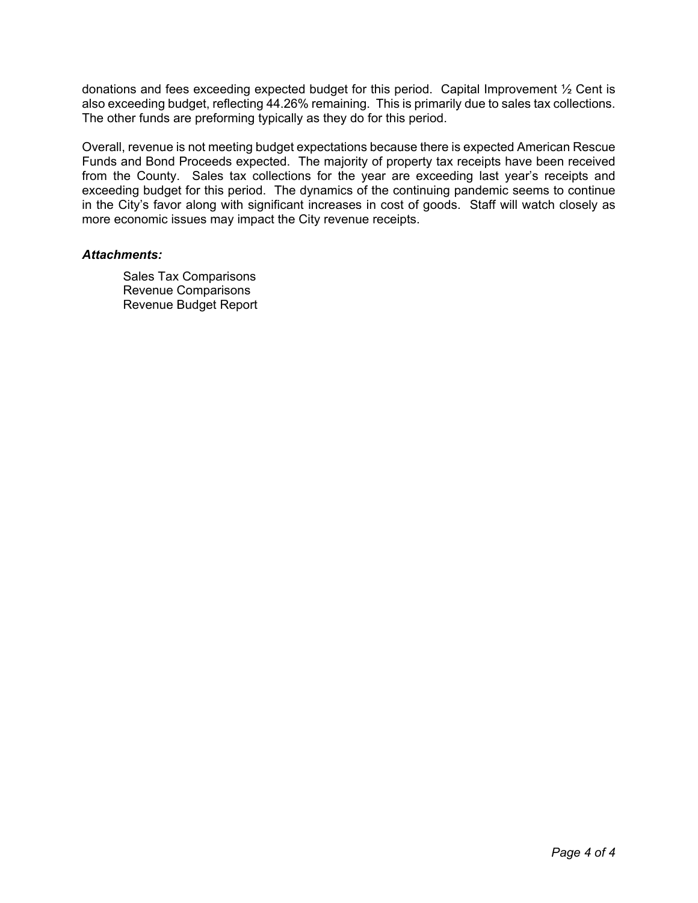donations and fees exceeding expected budget for this period. Capital Improvement ½ Cent is also exceeding budget, reflecting 44.26% remaining. This is primarily due to sales tax collections. The other funds are preforming typically as they do for this period.

Overall, revenue is not meeting budget expectations because there is expected American Rescue Funds and Bond Proceeds expected. The majority of property tax receipts have been received from the County. Sales tax collections for the year are exceeding last year's receipts and exceeding budget for this period. The dynamics of the continuing pandemic seems to continue in the City's favor along with significant increases in cost of goods. Staff will watch closely as more economic issues may impact the City revenue receipts.

### *Attachments:*

Sales Tax Comparisons Revenue Comparisons Revenue Budget Report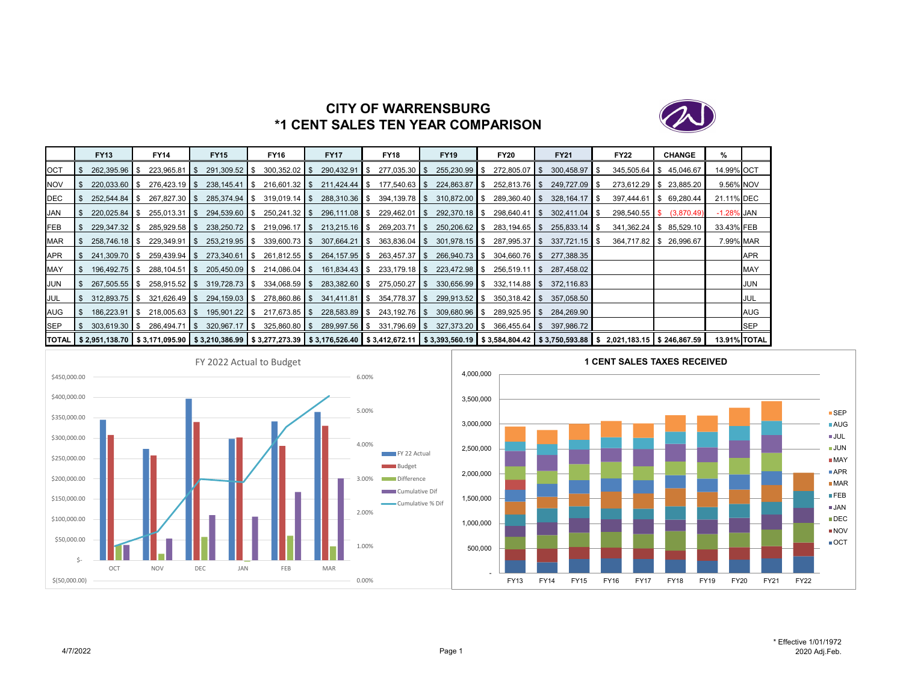

# **CITY OF WARRENSBURG\*1 CENT SALES TEN YEAR COMPARISON**

|            | <b>FY13</b>         | <b>FY14</b>                                                                                                                                                                                    |        | <b>FY15</b>               | <b>FY16</b>     | <b>FY17</b>     |     | <b>FY18</b>     | <b>FY19</b>              | <b>FY20</b>     | <b>FY21</b>     | <b>FY22</b>      |     | <b>CHANGE</b> | %             |                     |
|------------|---------------------|------------------------------------------------------------------------------------------------------------------------------------------------------------------------------------------------|--------|---------------------------|-----------------|-----------------|-----|-----------------|--------------------------|-----------------|-----------------|------------------|-----|---------------|---------------|---------------------|
| <b>OCT</b> | 262.395.96 \$       | 223.965.81                                                                                                                                                                                     | ∣ I \$ | 291,309.52 \$             | $300,352.02$ \$ | 290,432.91      | IS. | $277,035.30$ \$ | $255,230.99$ \$          | 272,805.07 \$   | $300,458.97$ \$ | $345,505.64$ \\$ |     | 45,046.67     | 14.99% OCT    |                     |
| <b>NOV</b> | 220,033.60 \$       | $276,423.19$ \$                                                                                                                                                                                |        | $238,145.41$ \$           | $216,601.32$ \$ | $211,424.44$ \$ |     | $177,540.63$ \$ | 224,863.87 \$            | $252,813.76$ \$ | 249,727.09 \$   | $273,612.29$ \$  |     | 23,885.20     | 9.56% NOV     |                     |
| <b>DEC</b> | $252.544.84$ \ \$   | $267,827.30$ \$                                                                                                                                                                                |        | 285,374.94 \$             | $319,019.14$ \$ | $288,310.36$ \$ |     | $394,139.78$ \$ | $310.872.00$ \ \$        | $289,360.40$ \$ | $328,164.17$ \$ | 397,444.61       | IS. | 69,280.44     | 21.11% DEC    |                     |
| <b>JAN</b> | $220.025.84$ \ \ \$ | $255,013.31$ \$                                                                                                                                                                                |        | 294,539.60 \$             | $250,241.32$ \$ | $296,111.08$ \$ |     | $229,462.01$ \$ | $292,370.18$ \$          | $298,640.41$ \$ | $302,411.04$ \$ | $298,540.55$ \$  |     | (3,870.49)    | $-1.28\%$ JAN |                     |
| FEB        | $229,347.32$ \$     | $285,929.58$ \$                                                                                                                                                                                |        | 238,250.72 \$             | $219,096.17$ \$ | $213,215.16$ \$ |     | $269,203.71$ \$ | 250,206.62 \$            | $283,194.65$ \$ | $255,833.14$ \$ | $341,362.24$ \$  |     | 85,529.10     | 33.43% FEB    |                     |
| <b>MAR</b> | 258.746.18 \$       | $229,349.91$ \$                                                                                                                                                                                |        | 253,219.95 \$             | $339,600.73$ \$ | $307,664.21$ \$ |     | $363,836.04$ \$ | $301,978.15$ $\sqrt{\ }$ | 287,995.37 \$   | $337,721.15$ \$ | 364,717.82 \$    |     | 26,996.67     | 7.99% MAR     |                     |
| <b>APR</b> | 241,309.70 \$       |                                                                                                                                                                                                |        | $273.340.61$ S            | $261,812.55$ \$ | 264,157.95 \$   |     | $263,457.37$ \$ | $266.940.73$ \$          | 304.660.76 S    | 277.388.35      |                  |     |               |               | <b>APR</b>          |
| MAY        | 196,492.75 \$       | $288, 104.51$ \\$                                                                                                                                                                              |        | $205,450.09$ \$           | $214,086.04$ \$ | 161,834.43 \$   |     | $233,179.18$ \$ | 223,472.98 \$            | $256,519.11$ \$ | 287,458.02      |                  |     |               |               | <b>MAY</b>          |
| <b>JUN</b> | $267.505.55$ \$     | 258,915.52 \$                                                                                                                                                                                  |        | $319.728.73$ $\text{\AA}$ | $334,068.59$ \$ | 283,382.60 \$   |     | $275,050.27$ \$ | $330,656.99$ \$          | 332.114.88 S    | 372.116.83      |                  |     |               |               | JUN                 |
| <b>JUL</b> | $312.893.75$ S      | $321.626.49$ S                                                                                                                                                                                 |        | 294,159.03 \$             | 278,860.86 \$   | 341,411.81 \$   |     | 354,778.37 \$   | $299.913.52$ \$          | $350.318.42$ S  | 357,058.50      |                  |     |               |               | JUL                 |
| <b>AUG</b> | $186,223.91$ \$     | $218,005.63$ \$                                                                                                                                                                                |        | $195,901.22$ \$           | $217,673.85$ \$ | 228,583.89 \$   |     | $243,192.76$ \$ | 309,680.96 \$            | $289,925.95$ \$ | 284.269.90      |                  |     |               |               | <b>AUG</b>          |
| <b>SEP</b> | $303,619.30$ \$     | $286.494.71$ S                                                                                                                                                                                 |        | $320,967.17$ \$           | $325,860.80$ \$ | 289,997.56 \$   |     | $331,796.69$ \$ | $327,373.20$ \$          | $366,455.64$ \$ | 397.986.72      |                  |     |               |               | <b>SEP</b>          |
|            |                     | TOTAL   \$2,951,138.70   \$3,171,095.90   \$3,210,386.99   \$3,277,273.39   \$3,176,526.40   \$3,412,672.11   \$3,393,560.19   \$3,584,804.42   \$3,750,593.88   \$2,021,183.15   \$246,867.59 |        |                           |                 |                 |     |                 |                          |                 |                 |                  |     |               |               | <b>13.91% TOTAL</b> |



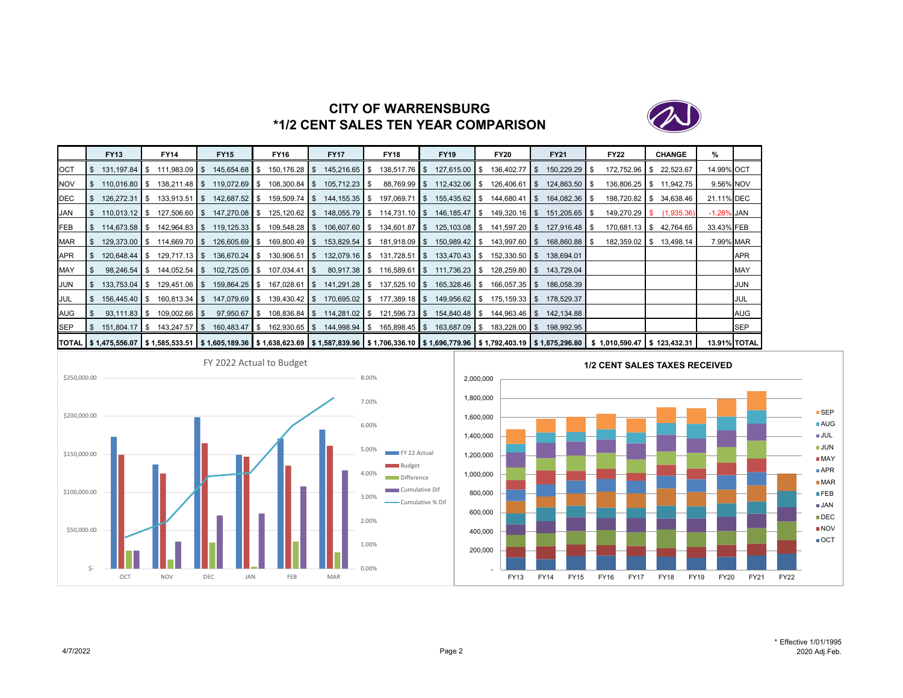

# **CITY OF WARRENSBURG\*1/2 CENT SALES TEN YEAR COMPARISON**

|            | <b>FY13</b>                      | <b>FY14</b>                                                                                                                                                                                               | <b>FY15</b>      | <b>FY16</b>      | <b>FY17</b>                                          | <b>FY18</b>                     | <b>FY19</b>                     | <b>FY20</b>     | <b>FY21</b>              | <b>FY22</b>             | <b>CHANGE</b> | %             |              |
|------------|----------------------------------|-----------------------------------------------------------------------------------------------------------------------------------------------------------------------------------------------------------|------------------|------------------|------------------------------------------------------|---------------------------------|---------------------------------|-----------------|--------------------------|-------------------------|---------------|---------------|--------------|
| OCT        | 131.197.84 S                     | 111,983.09 \$                                                                                                                                                                                             | 145,654.68 \$    | 150,176.28 \$    | 145,216.65 \$                                        |                                 | 138,517.76 \$127,615.00 \$      | $136,402.77$ \$ | 150,229.29 \$            | 172.752.96 \$           | 22,523.67     | 14.99% OCT    |              |
| <b>NOV</b> | $110.016.80$ \ \$                | $138,211.48$ \$                                                                                                                                                                                           | 119,072.69 \$    | 108,300.84 \$    | 105,712.23 \$                                        |                                 | 88,769.99 \$ 112,432.06 \$      | $126,406.61$ \$ | 124,863.50 \$            | 136,806.25 \$ 11,942.75 |               |               | 9.56% NOV    |
| <b>DEC</b> | $126,272.31$ \$                  | $133,913.51$ \$                                                                                                                                                                                           | 142,687.52 \$    | 159,509.74 \$    | 144, 155. 35 \$                                      | 197,069.71 \$                   | 155,435.62 \$                   | $144,680.41$ \$ | 164,082.36 \$            | 198,720.82 \$ 34,638.46 |               | 21.11% DEC    |              |
| JAN        | $110,013.12$ \$                  | 127.506.60 S                                                                                                                                                                                              | 147,270.08 \$    | $125, 120.62$ \$ |                                                      | 148,055.79 \$ 114,731.10 \$     | 146,185.47 \$                   | 149,320.16 \$   | 151,205.65   \$          | $149,270.29$ \$         | (1,935.36)    | $-1.28\%$ JAN |              |
| FEB        | 114,673.58 \$                    | 142,964.83 \$                                                                                                                                                                                             | $119, 125.33$ \$ | 109,548.28 \$    |                                                      | 106,607.60 \$ 134,601.87 \$     | 125,103.08 \$                   | 141,597.20 \$   | 127,916.48 \$            | 170.681.13 \$ 42.764.65 |               | 33.43% FEB    |              |
| <b>MAR</b> | $129.373.00$ \ \ \$              | $114,669.70$ \$                                                                                                                                                                                           | $126,605.69$ \$  | 169,800.49 \$    | 153,829.54 \$                                        | $181,918.09$ \$                 | 150,989.42 \$                   | 143,997.60 \$   | 168,860.88 \$            | 182,359.02 \$           | 13,498.14     |               | 7.99% MAR    |
| <b>APR</b> | $120.648.44$ \ \ \$              | $129,717.13$ \$                                                                                                                                                                                           | 136,670.24 \$    | $130,906.51$ \$  | 132,079.16 \$                                        | $131,728.51$ \$                 | 133,470.43 \$                   | $152,330.50$ \$ | 138.694.01               |                         |               |               | APR          |
| MAY        | $98,246.54$ \$                   | $144,052.54$ \$                                                                                                                                                                                           | $102,725.05$ \$  | $107,034.41$ \$  | 80,917.38 \$                                         |                                 | $116,589.61$ \$ $111,736.23$ \$ | $128,259.80$ \$ | 143,729.04               |                         |               |               | <b>MAY</b>   |
| JUN        | $133,753.04$ \$                  |                                                                                                                                                                                                           | 159,864.25 \$    | 167,028.61 \$    |                                                      | 141,291.28 \$ 137,525.10 \$     | 165,328.46 \$                   | $166,057.35$ \$ | 186,058.39               |                         |               |               | JUN          |
| <b>JUL</b> | $156.445.40$ S                   |                                                                                                                                                                                                           | 147.079.69 \$    | $139,430.42$ \$  |                                                      | $170,695.02$ \$ $177,389.18$ \$ | 149,956.62 \$                   | 175.159.33 S    | 178.529.37               |                         |               |               | JUL          |
| AUG        | $93,111.83$ $\sqrt{\phantom{1}}$ | 109,002.66 \$                                                                                                                                                                                             | 97,950.67 \$     |                  | 108,836.84 \$114,281.02 \$121,596.73 \$154,840.48 \$ |                                 |                                 |                 | 144,963.46 \$ 142,134.88 |                         |               |               | <b>AUG</b>   |
| <b>SEP</b> | 151,804.17 \$                    | $143,247.57$ \$                                                                                                                                                                                           | 160,483.47 \$    | 162,930.65 \$    | 144,998.94 \$                                        | 165,898.45 \$                   | 163,687.09 \$                   | 183,228.00 \$   | 198,992.95               |                         |               |               | <b>SEP</b>   |
|            |                                  | TOTAL   \$ 1,475,556.07   \$ 1,585,533.51   \$ 1,605,189.36   \$ 1,638,623.69   \$ 1,587,839.96   \$ 1,706,336.10   \$ 1,696,779.96   \$ 1,792,403.19   \$ 1,875,296.80   \$ 1,010,590.47   \$ 123,432.31 |                  |                  |                                                      |                                 |                                 |                 |                          |                         |               |               | 13.91% TOTAL |



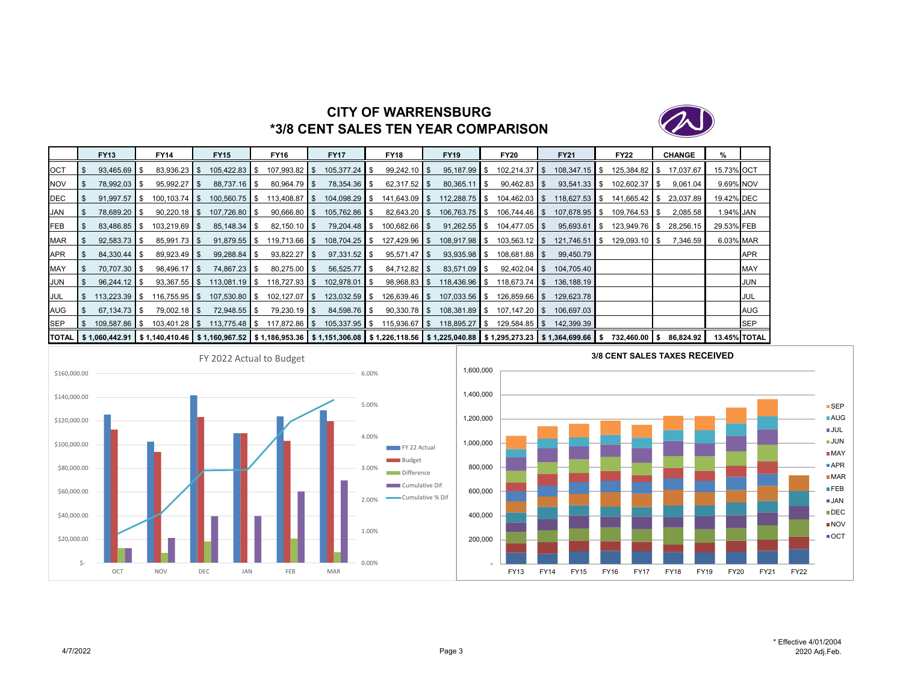

# **CITY OF WARRENSBURG\*3/8 CENT SALES TEN YEAR COMPARISON**

|            | <b>FY13</b>                      | <b>FY14</b>                                                                                                                                                                  | <b>FY15</b>     | FY16             | <b>FY17</b>               | <b>FY18</b>      | <b>FY19</b>     |       | <b>FY20</b>     | <b>FY21</b>     | <b>FY22</b>     | <b>CHANGE</b> | %          |                     |
|------------|----------------------------------|------------------------------------------------------------------------------------------------------------------------------------------------------------------------------|-----------------|------------------|---------------------------|------------------|-----------------|-------|-----------------|-----------------|-----------------|---------------|------------|---------------------|
| <b>OCT</b> | 93,465.69 \$                     | $83,936.23$ \$                                                                                                                                                               | 105,422.83 \$   | $107,993.82$ \$  | $105,377.24$ \$           | $99,242.10$ \$   | $95,187.99$ \$  |       | $102,214.37$ \$ | $108,347.15$ \$ | 125,384.82 \$   | 17,037.67     | 15.73% OCT |                     |
| <b>NOV</b> | 78,992.03 \$                     | $95,992.27$ \$                                                                                                                                                               | 88,737.16   \$  | $80,964.79$ \$   | 78,354.36 \$              | $62,317.52$   \$ | 80,365.11       | l I S | $90,462.83$ \$  | $93,541.33$ \$  | $102,602.37$ \$ | 9,061.04      | 9.69% NOV  |                     |
| <b>DEC</b> | $91,997.57$ \$                   |                                                                                                                                                                              | $100,560.75$ \$ | $113,408.87$ \$  | 104,098.29 \$             | $141,643.09$ \$  | $112,288.75$ \$ |       | $104,462.03$ \$ | $118,627.53$ \$ | 141,665.42   \$ | 23,037.89     | 19.42% DEC |                     |
| <b>JAN</b> | 78,689.20 \$                     | $90,220.18$ \$                                                                                                                                                               | 107,726.80 \$   | $90,666.80$ \$   | 105,762.86 \$             | $82,643.20$ \$   | $106,763.75$ \$ |       | $106,744.46$ \$ | 107,678.95 \$   | 109.764.53 \$   | 2,085.58      | 1.94% JAN  |                     |
| FEB        | 83,486.85 \$                     | $103,219.69$ \$                                                                                                                                                              |                 | $82,150.10$ \$   | 79,204.48 \$              | $100,682.66$ \$  | $91,262.55$ \$  |       | $104,477.05$ \$ | $95,693.61$ \$  | 123,949.76 \$   | 28,256.15     | 29.53% FEB |                     |
| MAR        | $92,583.73$ \$                   | 85,991.73 \$                                                                                                                                                                 | $91,879.55$ \$  |                  | 108,704.25 \$             | $127,429.96$ \$  | 108,917.98 \$   |       | $103,563.12$ \$ | $121,746.51$ \$ | $129,093.10$ \$ | 7,346.59      | 6.03% MAR  |                     |
| APR        | 84,330.44 \$                     | $89.923.49$ \$                                                                                                                                                               | 99,288.84 \$    | $93,822.27$ \$   |                           | $95,571.47$ \$   | $93,935.98$ \$  |       | $108,681.88$ \$ | 99,450.79       |                 |               |            | APR                 |
| MAY        | 70,707.30 \$                     | 98,496.17 \$                                                                                                                                                                 | 74,867.23 \$    | $80,275.00$ \$   | $56,525.77$ $\frac{8}{3}$ | $84,712.82$ \$   | $83,571.09$ \$  |       | $92,402.04$ \$  | 104,705.40      |                 |               |            | <b>MAY</b>          |
| <b>JUN</b> | $96,244.12$ \$                   | $93,367.55$ \$                                                                                                                                                               | $113,081.19$ \$ | $118,727.93$ \$  | 102,978.01   \$           | $98,968.83$ \$   | 118,436.96 \$   |       | $118,673.74$ \$ | 136,188.19      |                 |               |            | JUN                 |
| <b>JUL</b> | $113,223.39$ \$                  | $116,755.95$ \$                                                                                                                                                              | 107,530.80 \$   | $102, 127.07$ \$ | $123,032.59$ \$           | $126,639.46$ \$  | $107,033.56$ \$ |       | $126,859.66$ \$ | 129,623.78      |                 |               |            | JUL                 |
| AUG        | $67.134.73$ $\text{\textdegree}$ | $79.002.18$ S                                                                                                                                                                | 72.948.55 \$    | $79,230.19$ \$   | 84,598.76 \$              | $90,330.78$ \$   | 108,381.89 \$   |       | $107.147.20$ S  | 106.697.03      |                 |               |            | AUG                 |
| <b>SEP</b> | 109.587.86 \$                    | $103,401.28$ \$                                                                                                                                                              | $113,775.48$ \$ | 117,872.86 \$    | $105,337.95$ \$           | $115,936.67$ \$  | 118,895.27 \$   |       | $129,584.85$ \$ | 142,399.39      |                 |               |            | <b>SEP</b>          |
|            |                                  | TOTAL   \$ 1,060,442.91   \$ 1,140,410.46   \$ 1,160,967.52   \$ 1,186,953.36   \$ 1,151,306.08   \$ 1,226,118.56   \$ 1,225,040.88   \$ 1,295,273.23   \$ 1,364,699.66   \$ |                 |                  |                           |                  |                 |       |                 |                 | 732,460.00 \$   | 86,824.92     |            | <b>13.45% TOTAL</b> |



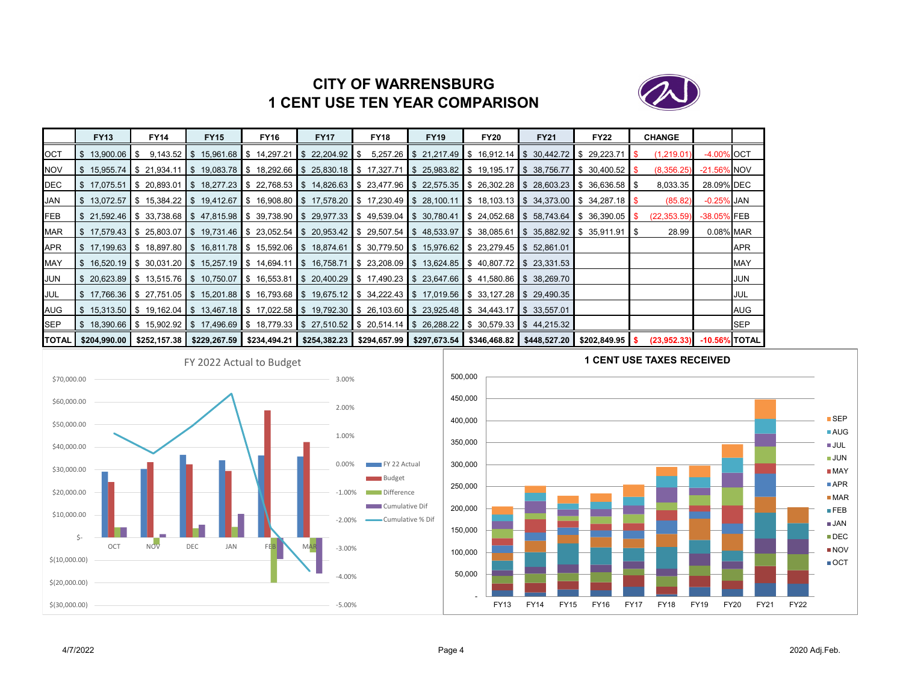# **CITY OF WARRENSBURG1 CENT USE TEN YEAR COMPARISON**



|            | <b>FY13</b>                                                                                                             | <b>FY14</b> | <b>FY15</b>                                                                                                 | <b>FY16</b> | <b>FY17</b> | <b>FY18</b> | <b>FY19</b> | <b>FY20</b> | <b>FY21</b>                                                                                                                                                      | <b>FY22</b> | <b>CHANGE</b> |                  |            |
|------------|-------------------------------------------------------------------------------------------------------------------------|-------------|-------------------------------------------------------------------------------------------------------------|-------------|-------------|-------------|-------------|-------------|------------------------------------------------------------------------------------------------------------------------------------------------------------------|-------------|---------------|------------------|------------|
| <b>OCT</b> | $$13.900.06$ S                                                                                                          |             | $9,143.52$ \$ 15,961.68 \$ 14,297.21 \$ 22,204.92 \$                                                        |             |             |             |             |             | $5,257.26$ \$ 21,217.49 \$ 16,912.14 \$ 30,442.72 \$ 29,223.71                                                                                                   |             | (1,219.01)    | -4.00% OCT       |            |
| <b>NOV</b> | S 15.955.74 S 21.934.11                                                                                                 |             |                                                                                                             |             |             |             |             |             | \$19,083.78 \$18,292.66 \$25,830.18 \$17,327.71 \$25,983.82 \$19,195.17 \$38,756.77 \$30,400.52 \$                                                               |             | (8,356.25)    | -21.56% NOV      |            |
| DEC        |                                                                                                                         |             |                                                                                                             |             |             |             |             |             | IS 17.075.51 IS 20.893.01 IS 18.277.23 IS 22.768.53 IS 14.826.63 IS 23.477.96 IS 22.575.35 IS 26.302.28 IS 28.603.23 IS 36.636.58 IS                             |             | 8,033.35      | 28.09% DEC       |            |
| <b>JAN</b> |                                                                                                                         |             |                                                                                                             |             |             |             |             |             | \$ 13,072.57 \$ 15,384.22 \$ 19,412.67 \$ 16,908.80 \$ 17,578.20 \$ 17,230.49 \$ 28,100.11 \$ 18,103.13 \$ 34,373.00 \$ 34,287.18 \$                             |             | (85.82)       | $-0.25\%$ JAN    |            |
| <b>FEB</b> |                                                                                                                         |             |                                                                                                             |             |             |             |             |             | \$21,592.46 \$33,738.68 \$47,815.98 \$39,738.90 \$29,977.33 \$49,539.04 \$30,780.41 \$24,052.68 \$58,743.64 \$36,390.05 \$                                       |             | (22, 353.59)  | -38.05% FEB      |            |
| <b>MAR</b> |                                                                                                                         |             |                                                                                                             |             |             |             |             |             | \$17,579.43  \$25,803.07  \$19,731.46  \$23,052.54  \$20,953.42  \$29,507.54  \$48,533.97  \$38,085.61  \$35,882.92  \$35,911.91  \$                             |             | 28.99         | 0.08% MAR        |            |
| <b>APR</b> |                                                                                                                         |             | \$17,199.63 \$18,897.80 \$16,811.78 \$15,592.06 \$18,874.61 \$30,779.50 \$15,976.62 \$23,279.45 \$52,861.01 |             |             |             |             |             |                                                                                                                                                                  |             |               |                  | <b>APR</b> |
| <b>MAY</b> |                                                                                                                         |             |                                                                                                             |             |             |             |             |             | \$16,520.19 \$30,031.20 \$15,257.19 \$14,694.11 \$16,758.71 \$23,208.09 \$13,624.85 \$40,807.72 \$23,331.53                                                      |             |               |                  | <b>MAY</b> |
| JUN        |                                                                                                                         |             |                                                                                                             |             |             |             |             |             | \$20,623.89  \$13,515.76  \$10,750.07  \$16,553.81  \$20,400.29  \$17,490.23  \$23,647.66  \$41,580.86  \$38,269.70                                              |             |               |                  | JUN        |
| JUL        |                                                                                                                         |             |                                                                                                             |             |             |             |             |             | \$17,766.36 \$27,751.05 \$15,201.88 \$16,793.68 \$19,675.12 \$34,222.43 \$17,019.56 \$33,127.28 \$29,490.35                                                      |             |               |                  | JUL        |
| AUG        | \$15,313.50  \$19,162.04  \$13,467.18  \$17,022.58  \$19,792.30  \$26,103.60  \$23,925.48  \$34,443.17  \$33,557.01  \$ |             |                                                                                                             |             |             |             |             |             |                                                                                                                                                                  |             |               |                  | AUG        |
| <b>SEP</b> |                                                                                                                         |             |                                                                                                             |             |             |             |             |             | S 18,390.66 S 15,902.92 S 17,496.69 S 18,779.33 S 27,510.52 S 20,514.14 S 26,288.22 S 30,579.33 S 44,215.32                                                      |             |               |                  | <b>SEP</b> |
|            |                                                                                                                         |             |                                                                                                             |             |             |             |             |             | TOTAL   \$204,990.00   \$252,157.38   \$229,267.59   \$234,494.21   \$254,382.23   \$294,657.99   \$297,673.54   \$346,468.82   \$448,527.20   \$202,849.95   \$ |             | (23,952,33)   | $-10.56\%$ TOTAL |            |



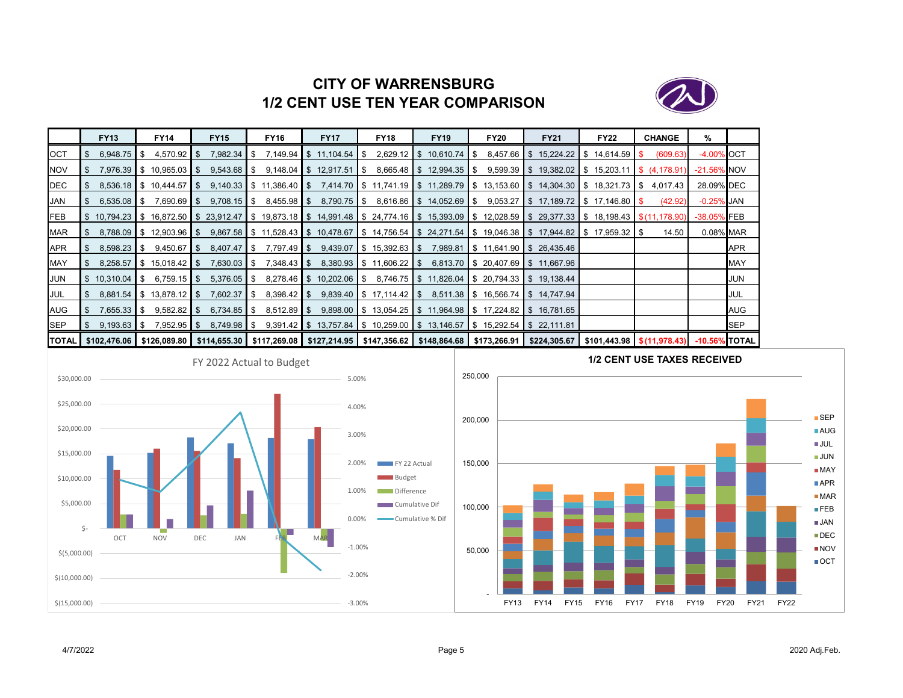

# **CITY OF WARRENSBURG1/2 CENT USE TEN YEAR COMPARISON**

|              | <b>FY13</b>             | <b>FY14</b>                             | <b>FY15</b>       | <b>FY16</b>                                                                                                     | <b>FY17</b>                                      | <b>FY18</b>                | <b>FY19</b>                | <b>FY20</b>                                                                                                   | <b>FY21</b>                             | <b>FY22</b>                                | <b>CHANGE</b>       | %                |             |
|--------------|-------------------------|-----------------------------------------|-------------------|-----------------------------------------------------------------------------------------------------------------|--------------------------------------------------|----------------------------|----------------------------|---------------------------------------------------------------------------------------------------------------|-----------------------------------------|--------------------------------------------|---------------------|------------------|-------------|
| OCT          | 6,948.75                | IS.                                     |                   |                                                                                                                 | 7,149.94 $\parallel$ \$ 11,104.54 $\parallel$ \$ |                            | $2,629.12$ \$ 10,610.74 \$ |                                                                                                               | $8,457.66$ \$ 15,224.22 \$ 14,614.59 \$ |                                            | (609.63)            | -4.00% OCT       |             |
| <b>NOV</b>   |                         | 7,976.39 \$10,965.03                    | - SS              |                                                                                                                 | $9,148.04$ \$ 12,917.51                          | IS.                        | 8,665.48 \$12,994.35 \$    |                                                                                                               | $9,599.39$ \$ 19,382.02 \$ 15,203.11    |                                            | <b>S</b> (4,178.91) | $-21.56\%$ NOV   |             |
| DEC          |                         | 8.536.18 \ \ \$ 10.444.57               | S.                | $9,140.33$ \$ 11,386.40 \$                                                                                      |                                                  |                            |                            | 7,414.70 S 11,741.19 S 11,289.79 S 13,153.60 S 14,304.30 S 18,321.73 S 4,017.43                               |                                         |                                            |                     | 28.09% DEC       |             |
| JAN          | $6,535.08$ \$           | $7,690.69$ \$                           | $9,708.15$ \$     |                                                                                                                 |                                                  |                            |                            | $8,790.75$ $\$\$ $8,616.86$ $\$\$ $14,052.69$ $\$\$ $9,053.27$ $\$\$ $17,189.72$ $\$\$ $17,146.80$ $\$\$      |                                         |                                            | (42.92)             | $-0.25\%$ JAN    |             |
| <b>IFEB</b>  |                         | $\frac{1}{2}$ 10,794.23 \$ 16,872.50 \$ |                   | \$2.912.47 \$19.873.18 \$14,991.48 \$24,774.16 \$15,393.09 \$12,028.59 \$29,377.33 \$18,198.43 \$(11,178.90) \$ |                                                  |                            |                            |                                                                                                               |                                         |                                            |                     | -38.05% FEB      |             |
| MAR          |                         | $8,788.09$ \$ 12,903.96 \$              |                   | 9,867.58 \$ 11,528.43 \$ 10,478.67 \$ 14,756.54 \$ 24,271.54 \$ 19,046.38 \$ 17,944.82 \$ 17,959.32 \$          |                                                  |                            |                            |                                                                                                               |                                         |                                            | 14.50               | 0.08% MAR        |             |
| APR          | 8,598.23                | 9,450.67<br>IS.                         | IS.               |                                                                                                                 |                                                  |                            |                            | $9,439.07$ $\parallel$ \$ 15,392.63 $\parallel$ \$ 7,989.81 $\parallel$ \$ 11,641.90 $\parallel$ \$ 26,435.46 |                                         |                                            |                     |                  | <b>APR</b>  |
| MAY          | 8,258.57                | $\parallel$ \$ 15,018.42 $\parallel$ \$ | $7,630.03$ \$     |                                                                                                                 |                                                  | $8,380.93$ \$ 11,606.22 \$ |                            | 6,813.70 \$ 20,407.69 \$ 11,667.96                                                                            |                                         |                                            |                     |                  | <b>MAY</b>  |
| <b>JUN</b>   | $\frac{1}{2}$ 10,310.04 | $\frac{1}{2}$ 6.759.15 \$               | $5,376.05$ \$     |                                                                                                                 |                                                  |                            |                            | 8,278.46 \$ 10,202.06 \$ 8,746.75 \$ 11,826.04 \$ 20,794.33 \$ 19,138.44                                      |                                         |                                            |                     |                  | JUN         |
| JUL          |                         | 8,881.54 \$13,878.12 \$                 | $7,602.37$ \$     |                                                                                                                 |                                                  |                            |                            | $9,839.40$ $\parallel$ \$ 17,114.42 $\parallel$ \$ 8,511.38 $\parallel$ \$ 16,566.74 $\parallel$ \$ 14,747.94 |                                         |                                            |                     |                  | <b>JUL</b>  |
| AUG          | $7,655.33$ \$           | $9,582.82$ \$                           | $6,734.85$ \$     |                                                                                                                 |                                                  |                            |                            | $9,898.00$ \$ 13,054.25 \$ 11,964.98 \$ 17,224.82 \$ 16,781.65                                                |                                         |                                            |                     |                  | <b>AUG</b>  |
| <b>SEP</b>   | $9,193.63$ \$           | $7,952.95$ \$                           | $8,749.98$ \ \ \$ |                                                                                                                 |                                                  |                            |                            | $9,391.42$ \$ 13,757.84 \$ 10,259.00 \$ 13,146.57 \$ 15,292.54 \$ 22,111.81                                   |                                         |                                            |                     |                  | <b>ISEP</b> |
| <b>TOTAL</b> | \$102,476.06            | \$126,089.80                            |                   | \$114,655.30   \$117,269.08   \$127,214.95   \$147,356.62   \$148,864.68   \$173,266.91                         |                                                  |                            |                            |                                                                                                               |                                         | $$224,305.67$ $$101,443.98$ $$(11,978.43)$ |                     | $-10.56\%$ TOTAL |             |



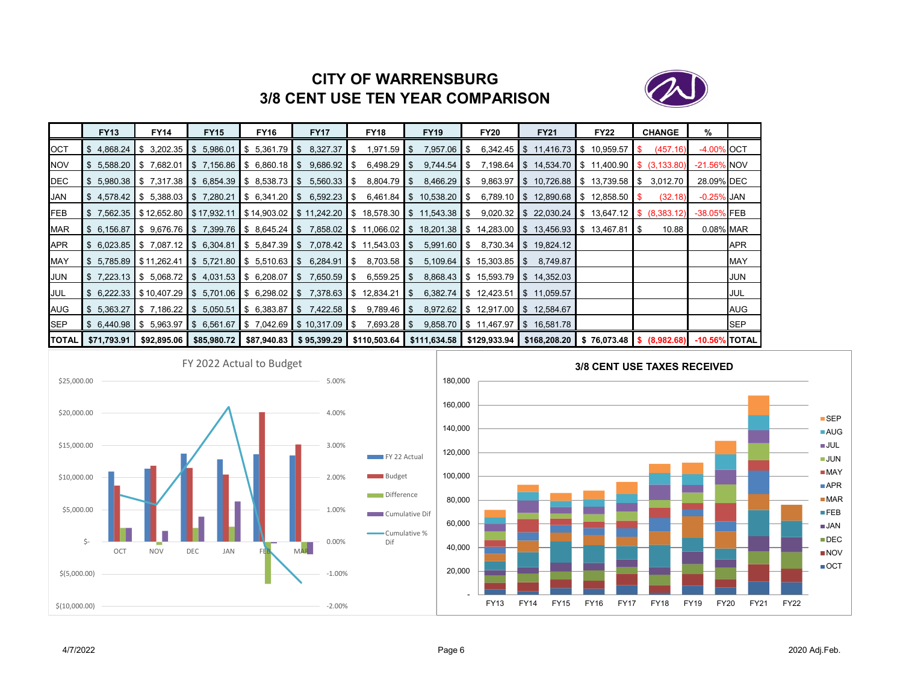

# **CITY OF WARRENSBURG3/8 CENT USE TEN YEAR COMPARISON**

|              | <b>FY13</b>            | <b>FY14</b>                                   | <b>FY15</b> | <b>FY16</b>               | <b>FY17</b>                                                                            | <b>FY18</b>                                                                                                                                               | <b>FY19</b>     | <b>FY20</b>                          | <b>FY21</b>                                                                                                                                                     | <b>FY22</b> | <b>CHANGE</b> | %              |            |
|--------------|------------------------|-----------------------------------------------|-------------|---------------------------|----------------------------------------------------------------------------------------|-----------------------------------------------------------------------------------------------------------------------------------------------------------|-----------------|--------------------------------------|-----------------------------------------------------------------------------------------------------------------------------------------------------------------|-------------|---------------|----------------|------------|
| <b>I</b> OCT | \$4.868.24             | $\frac{1}{5}$ 3,202.35 $\frac{1}{5}$ 5,986.01 |             | $\frac{1}{5}$ 5.361.79 \$ | 8,327.37                                                                               | 1,971.59<br>-SS                                                                                                                                           | 7,957.06<br>IS. | IS.                                  | $6,342.45$ \$ 11,416.73 \$ 10,959.57                                                                                                                            |             | (457.16)      | -4.00% OCT     |            |
| <b>NOV</b>   | \$5,588.20  \$7,682.01 |                                               |             |                           | $\parallel$ \$ 7,156.86 $\parallel$ \$ 6,860.18 $\parallel$ \$ 9,686.92 $\parallel$ \$ | $6,498.29$ \ \ \$                                                                                                                                         | $9,744.54$ \$   |                                      | 7,198.64 \$14,534.70 \$11,400.90 \$(3,133.80)                                                                                                                   |             |               | $-21.56\%$ NOV |            |
| DEC          |                        |                                               |             |                           | $$5,980.38$   \$7,317.38   \$6,854.39   \$8,538.73   \$5,560.33   \$                   | $8,804.79$ \$                                                                                                                                             | $8,466.29$ \$   |                                      | $9,863.97$ \$ 10,726.88 \$ 13,739.58 \$                                                                                                                         |             | 3,012.70      | 28.09% DEC     |            |
| JAN          |                        |                                               |             |                           |                                                                                        |                                                                                                                                                           |                 |                                      | \$4,578.42 \$5,388.03 \$7,280.21 \$6,341.20 \$6,592.23 \$6,461.84 \$10,538.20 \$6,789.10 \$12,890.68 \$12,858.50 \$                                             |             | (32.18)       | -0.25% JAN     |            |
| <b>IFEB</b>  |                        |                                               |             |                           |                                                                                        |                                                                                                                                                           |                 |                                      | \$7,562.35   \$12,652.80   \$17,932.11   \$14,903.02   \$11,242.20   \$18,578.30   \$11,543.38   \$9,020.32   \$22,030.24   \$13,647.12   \$(8,383.12)          |             |               | -38.05% FEB    |            |
| <b>MAR</b>   |                        |                                               |             |                           |                                                                                        |                                                                                                                                                           |                 |                                      | \$6,156.87  \$9,676.76  \$7,399.76  \$8,645.24  \$7,858.02  \$11,066.02  \$18,201.38  \$14,283.00  \$13,456.93  \$13,467.81  \$                                 |             | 10.88         | 0.08% MAR      |            |
| <b>APR</b>   |                        |                                               |             |                           |                                                                                        | $$6,023.85$ $$7,087.12$ $$6,304.81$ $$5,847.39$ $$7,078.42$ $$11,543.03$ $$5$                                                                             | $5,991.60$ \$   |                                      | 8,730.34 \$ 19,824.12                                                                                                                                           |             |               |                | <b>APR</b> |
| <b>MAY</b>   |                        |                                               |             |                           |                                                                                        | $\frac{1}{3}$ 5,785.89 $\frac{1}{3}$ 511,262.41 $\frac{1}{3}$ 5,721.80 $\frac{1}{3}$ 5,510.63 $\frac{1}{3}$ 6,284.91 $\frac{1}{3}$ 8,703.58 $\frac{1}{3}$ |                 | $5,109.64$ \$ $15,303.85$ \$         | 8,749.87                                                                                                                                                        |             |               |                | <b>MAY</b> |
| JUN          |                        |                                               |             |                           | \$7,223.13  \$5,068.72  \$4,031.53  \$6,208.07  \$7,650.59  \$                         | $6,559.25$ \$                                                                                                                                             |                 |                                      | 8,868.43 \$ 15,593.79 \$ 14,352.03                                                                                                                              |             |               |                | JUN        |
| JUL          |                        |                                               |             |                           |                                                                                        | $$6,222.33$ $$10,407.29$ $$5,701.06$ $$6,298.02$ $$7,378.63$ $$12,834.21$ $$5$                                                                            |                 | $6,382.74$ \$ 12,423.51 \$ 11,059.57 |                                                                                                                                                                 |             |               |                | JUL        |
| AUG          |                        |                                               |             |                           | \$5.363.27   \$7.186.22   \$5.050.51   \$6.383.87   \$7.422.58   \$                    | $9,789.46$ S                                                                                                                                              |                 | 8,972.62 \$12,917.00 \$12,584.67     |                                                                                                                                                                 |             |               |                | AUG        |
| <b>I</b> SEP |                        |                                               |             |                           | $\frac{1}{5}$ 6,440.98 \$ 5,963.97 \$ 6,561.67 \$ 7,042.69 \$ 10,317.09 \$             | 7,693.28 \$                                                                                                                                               |                 |                                      | 9,858.70 \$11,467.97 \$16,581.78                                                                                                                                |             |               |                | SEP        |
| <b>TOTAL</b> | \$71,793.91 I          |                                               |             |                           |                                                                                        |                                                                                                                                                           |                 |                                      | \$92,895.06   \$85,980.72   \$87,940.83   \$95,399.29   \$110,503.64   \$111,634.58   \$129,933.94   \$168,208.20   \$ 76,073.48   \$ (8,982.68)  -10.56% TOTAL |             |               |                |            |



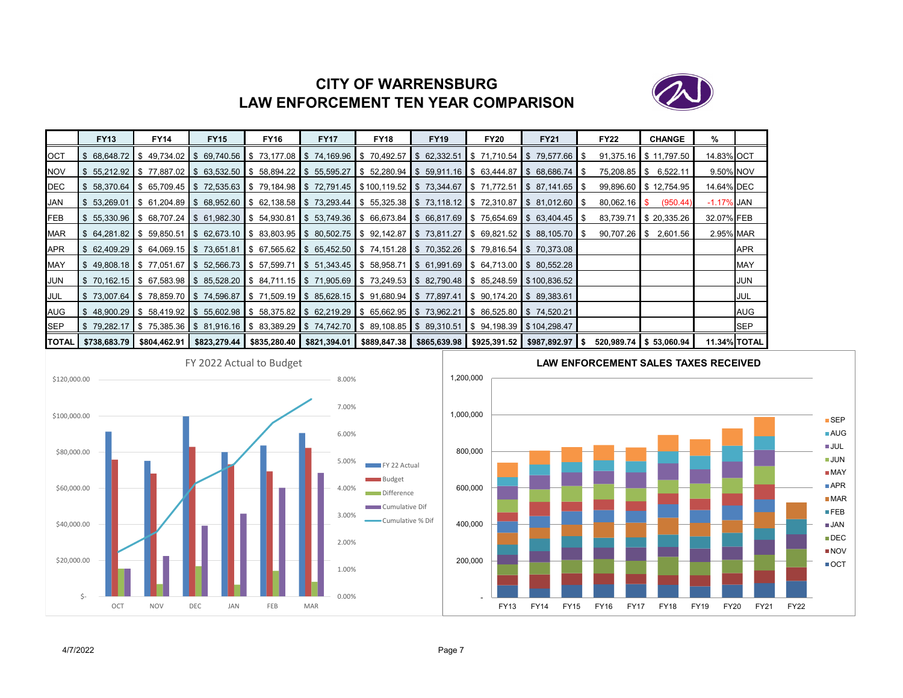# **CITY OF WARRENSBURGLAW ENFORCEMENT TEN YEAR COMPARISON**



|     | <b>FY13</b>                          | <b>FY14</b>                  | <b>FY15</b>                                                                                                                                       | <b>FY16</b> | <b>FY17</b>                                                                                                         | <b>FY18</b> | <b>FY19</b>                                                      | <b>FY20</b> | <b>FY21</b> | <b>FY22</b>    | <b>CHANGE</b>            | %                   |             |
|-----|--------------------------------------|------------------------------|---------------------------------------------------------------------------------------------------------------------------------------------------|-------------|---------------------------------------------------------------------------------------------------------------------|-------------|------------------------------------------------------------------|-------------|-------------|----------------|--------------------------|---------------------|-------------|
| OCT | -SS                                  | 68.648.72 S 49.734.02 S      |                                                                                                                                                   |             | 69,740.56 \$73,177.08 \$74,169.96 \$70,492.57 \$62,332.51 \$71,710.54 \$79,577.66 \$                                |             |                                                                  |             |             |                | 91,375.16 \$11,797.50    | 14.83% OCT          |             |
| NOV |                                      |                              | $\frac{1}{2}$ 55.212.92 $\frac{1}{2}$ 77.887.02 $\frac{1}{2}$ 63.532.50 $\frac{1}{2}$ 58.894.22 $\frac{1}{2}$ 55.595.27                           |             |                                                                                                                     |             | $\$\$$ 52,280.94 \\ \$ 59,911.16 \ \$ 63,444.87 \ \$ 68,686.74 \ |             |             | 75,208.85 \$   | 6,522.11                 | 9.50% NOV           |             |
| DEC |                                      |                              | \$ 58,370.64  \$ 65,709.45  \$ 72,535.63  \$ 79,184.98  \$ 72,791.45  \$100,119.52  \$ 73,344.67  \$ 71,772.51  \$ 87,141.65  \$                  |             |                                                                                                                     |             |                                                                  |             |             |                | 99,896.60 \$12,754.95    | 14.64% DEC          |             |
| JAN | 53,269.01                            |                              | \$61,204.89  \$68,952.60  \$62,138.58  \$73,293.44  \$55,325.38  \$73,118.12  \$72,310.87  \$81,012.60                                            |             |                                                                                                                     |             |                                                                  |             |             | $80,062.16$ \$ | (950.44)                 | $-1.17\%$ JAN       |             |
| FEB |                                      |                              | $$5,330.96$ $$68,707.24$ $$61,982.30$ $$54,930.81$                                                                                                |             | \$53,749.36  \$66,673.84  \$66,817.69  \$75,654.69  \$63,404.45  \$                                                 |             |                                                                  |             |             | 83,739.71      | \$20,335.26              | 32.07% FEB          |             |
| MAR | $\frac{1}{3}$ 64,281.82 \$ 59,850.51 |                              |                                                                                                                                                   |             | $\frac{1}{3}$ 62,673.10 \ \$ 83,803.95 \ \$ 80,502.75 \ \$ 92,142.87 \ \$ 73,811.27 \ \$ 69,821.52 \ \$ 88,105.70 \ |             |                                                                  |             |             |                | $90,707.26$ \$ 2,601.56  | 2.95% MAR           |             |
| APR |                                      |                              | \$62,409.29 \$64,069.15 \$73,651.81 \$67,565.62 \$65,452.50 \$74,151.28 \$70,352.26 \$79,816.54 \$70,373.08                                       |             |                                                                                                                     |             |                                                                  |             |             |                |                          |                     | <b>APR</b>  |
| MAY |                                      |                              | $\$\$$ 49,808.18 $\$\$$ 77,051.67 $\$\$$ 52,566.73 $\$\$$ 57,599.71                                                                               |             | $\$\,51,343.45$ $\$\,58,958.71$                                                                                     |             | $\$\$$ 61,991.69 \\ \$ 64,713.00 \ \$ 80,552.28                  |             |             |                |                          |                     | <b>MAY</b>  |
| JUN |                                      |                              | \$ 70.162.15  \$ 67.583.98  \$ 85.528.20  \$ 84.711.15  \$ 71.905.69  \$ 73.249.53  \$ 82.790.48  \$ 85.248.59  \$100.836.52                      |             |                                                                                                                     |             |                                                                  |             |             |                |                          |                     | <b>JUN</b>  |
| JUL |                                      |                              | \$73,007.64 \$78,859.70 \$74,596.87 \$71,509.19 \$85,628.15 \$91,680.94 \$77,897.41 \$90,174.20 \$89,383.61                                       |             |                                                                                                                     |             |                                                                  |             |             |                |                          |                     | JUL         |
| AUG |                                      | $$48,900.29$ $$58,419.92$ \$ |                                                                                                                                                   |             | 55,602.98 \$ 58,375.82 \$ 62,219.29 \$ 65,662.95 \$ 73,962.21 \$ 86,525.80 \$ 74,520.21                             |             |                                                                  |             |             |                |                          |                     | AUG         |
| SEP |                                      |                              | \$79,282.17  \$75,385.36  \$81,916.16  \$83,389.29  \$74,742.70  \$89,108.85  \$89,310.51  \$94,198.39  \$104,298.47                              |             |                                                                                                                     |             |                                                                  |             |             |                |                          |                     | <b>ISEP</b> |
|     |                                      |                              | TOTAL   \$738,683.79   \$804,462.91   \$823,279.44   \$835,280.40   \$821,394.01   \$889,847.38   \$865,639.98   \$925,391.52   \$987,892.97   \$ |             |                                                                                                                     |             |                                                                  |             |             |                | $520,989.74$ \$53,060.94 | <b>11.34% TOTAL</b> |             |



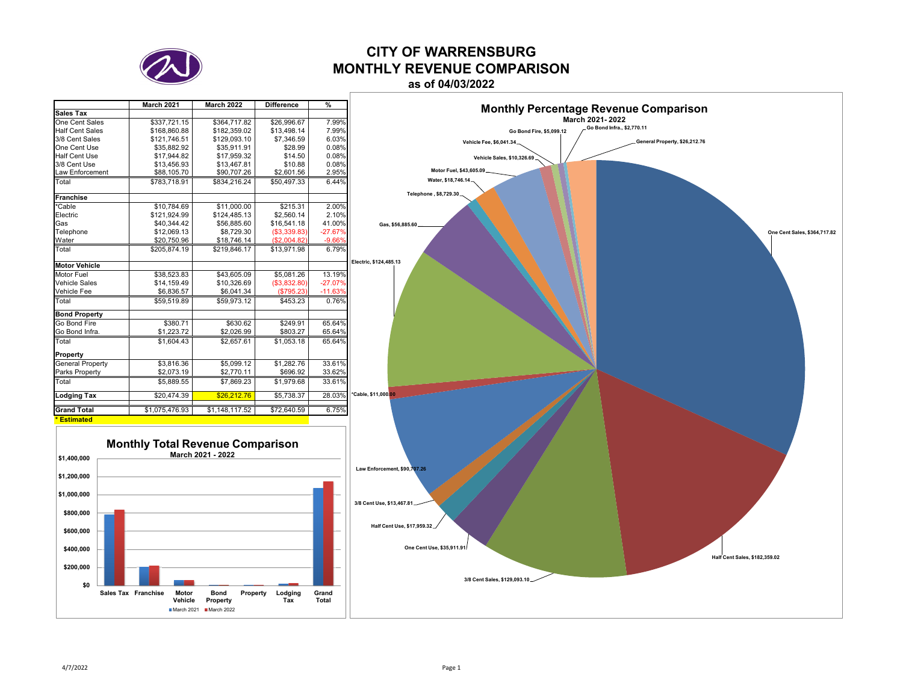

# **CITY OF WARRENSBURGMONTHLY REVENUE COMPARISON**

**as of 04/03/2022**

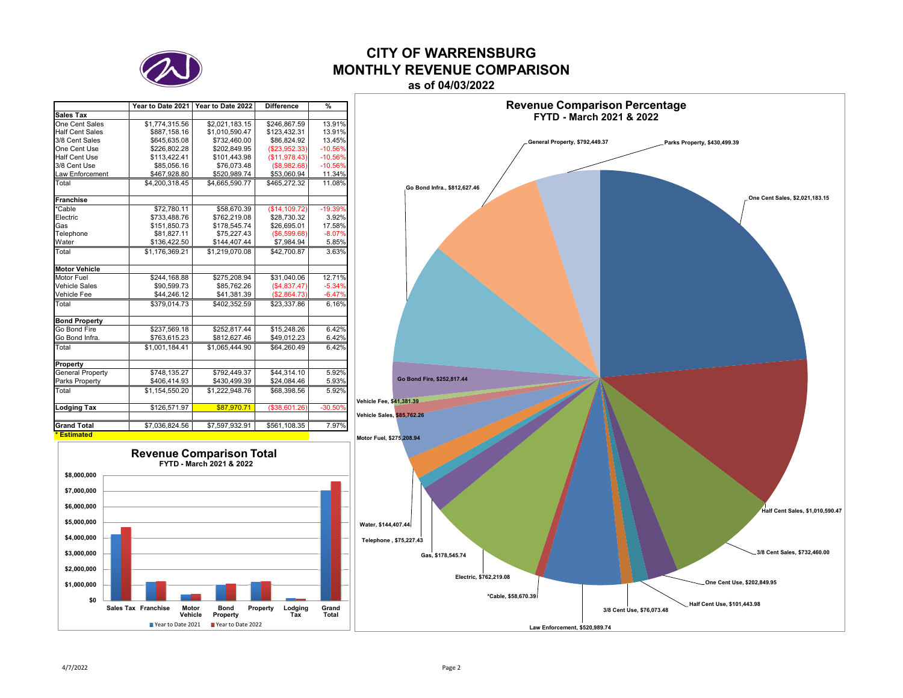

### **CITY OF WARRENSBURGMONTHLY REVENUE COMPARISONas of 04/03/2022**

|                         | Year to Date 2021 | Year to Date 2022 | <b>Difference</b> | $\frac{9}{6}$ |
|-------------------------|-------------------|-------------------|-------------------|---------------|
| <b>Sales Tax</b>        |                   |                   |                   |               |
| One Cent Sales          | \$1,774,315.56    | \$2,021,183.15    | \$246,867.59      | 13.91%        |
| <b>Half Cent Sales</b>  | \$887,158.16      | \$1,010,590.47    | \$123,432.31      | 13.91%        |
| 3/8 Cent Sales          | \$645.635.08      | \$732.460.00      | \$86.824.92       | 13.45%        |
| One Cent Use            | \$226,802.28      | \$202,849.95      | (\$23,952.33)     | $-10.56%$     |
| Half Cent Use           | \$113,422.41      | \$101,443.98      | (\$11,978.43)     | $-10.56%$     |
| 3/8 Cent Use            | \$85,056.16       | \$76,073.48       | (\$8,982.68)      | $-10.56%$     |
| <b>Law Enforcement</b>  | \$467,928.80      | \$520,989.74      | \$53,060.94       | 11.34%        |
| Total                   | \$4.200.318.45    | \$4.665.590.77    | \$465.272.32      | 11.08%        |
| <b>Franchise</b>        |                   |                   |                   |               |
| *Cable                  | \$72.780.11       | \$58,670.39       | (S14.109.72)      | $-19.39%$     |
| Electric                | \$733,488.76      | \$762,219.08      | \$28,730.32       | 3.92%         |
| Gas                     | \$151,850.73      | \$178,545.74      | \$26,695.01       | 17.58%        |
| Telephone               | \$81,827.11       | \$75,227.43       | (S6, 599.68)      | $-8.07%$      |
| Water                   | \$136,422.50      | \$144,407.44      | \$7,984.94        | 5.85%         |
| Total                   | \$1.176.369.21    | \$1.219.070.08    | \$42,700.87       | 3.63%         |
| <b>Motor Vehicle</b>    |                   |                   |                   |               |
| Motor Fuel              | \$244,168.88      | \$275,208.94      | \$31,040.06       | 12.71%        |
| Vehicle Sales           | \$90.599.73       | \$85,762.26       | (\$4,837.47)      | $-5.34%$      |
| Vehicle Fee             | \$44,246.12       | \$41,381.39       | (\$2,864.73)      | $-6.47%$      |
| Total                   | \$379.014.73      | \$402.352.59      | \$23,337.86       | 6.16%         |
| <b>Bond Property</b>    |                   |                   |                   |               |
| Go Bond Fire            | \$237,569.18      | \$252,817.44      | \$15,248.26       | 6.42%         |
| Go Bond Infra.          | \$763,615.23      | \$812,627.46      | \$49,012.23       | 6.42%         |
| Total                   | \$1.001.184.41    | \$1.065.444.90    | \$64,260.49       | 6.42%         |
| Property                |                   |                   |                   |               |
| <b>General Property</b> | \$748,135.27      | \$792.449.37      | \$44.314.10       | 5.92%         |
| Parks Property          | \$406,414.93      | \$430,499.39      | \$24,084.46       | 5.93%         |
| Total                   | \$1,154,550.20    | \$1,222,948.76    | \$68,398.56       | 5.92%         |
| <b>Lodging Tax</b>      | \$126,571.97      | \$87,970.71       | (\$38,601.26)     | $-30.50%$     |
|                         |                   |                   |                   |               |
| <b>Grand Total</b>      | \$7,036,824.56    | \$7,597,932.91    | \$561,108.35      | 7.97%         |
| * Estimated             |                   |                   |                   |               |



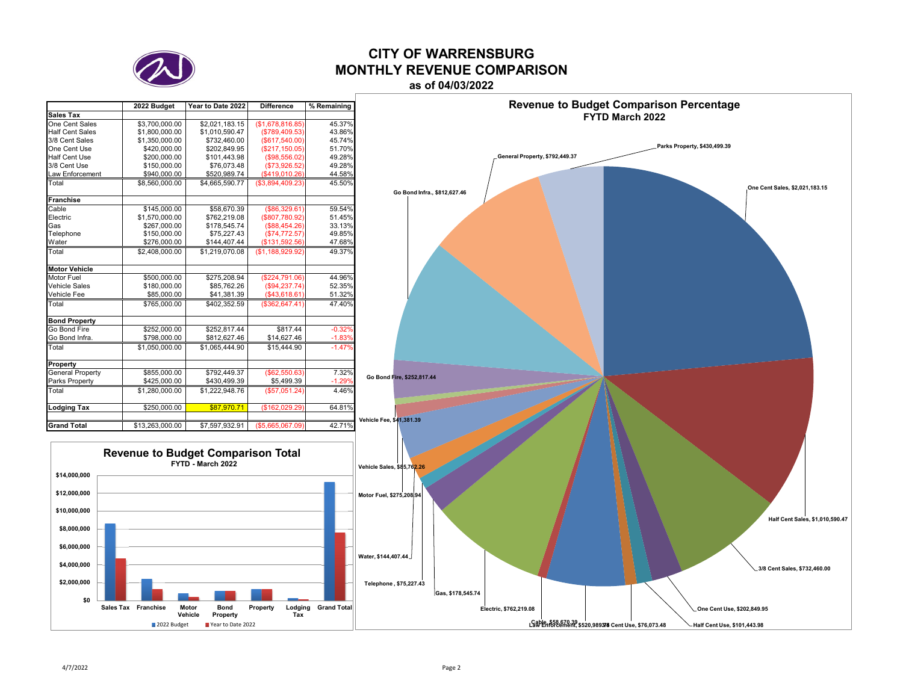

### **CITY OF WARRENSBURGMONTHLY REVENUE COMPARISONas of 04/03/2022**

### **2022 Budget Year to Date 2022 Difference % Remaining Sales Tax**One Cent Sales  $\frac{$3,700,000.00}{$2,021,183.15}$  (\$1,678,816.85) 45.37%<br>\$1,800,000.00 \$1,010,590.47 (\$789,409.53) 43.86% Half Cent Sales \$1,800,000.00 \$1,010,590.47 (\$789,409.53) 43.86%<br>3/8 Cent Sales \$1,350,000.00 \$732,460.00 (\$617.540.00) 45.74%  $\left\{\n \begin{array}{ccc}\n \$4,350,000.00 \\
\$5732,460.00 \\
\$202,849.95\n \end{array}\n\right.\n\left.\n \begin{array}{ccc}\n \$617,540.00 \\
\$217,150.05\n \end{array}\n\right.\n\right\}$ 45.74% One Cent Use \$420,000.00 \$202,849.95 (\$217,150.05) 51.70%  $\begin{array}{c|c|c|c|c|c|c|c|c} \hline \text{$\$200,000.00} & \text{$\$101,443.98} & \text{$\$150,000.00} & \text{$\$76,073.48} & \text{$\$150,000.00} & \text{$\$150,000.00} & \text{$\$100,000.00} & \text{$\$100,000.00} & \text{$\$100,000.00} & \text{$\$100,000.00} & \text{$\$100,000.00} & \text{$\$100,000.00} & \text{$$ 3/8 Cent Use \$150,000.00 \$76,073.48 (\$73,926.52) 49.28% Law Enforcement Total \$8,560,000.00 \$4,665,590.77 (\$3,894,409.23) 45.50% **Franchise**  Cable \$145,000.00 \$58,670.39 (\$86,329.61) 59.54%  $\begin{array}{c|c}\n $1,570,000.00 & $762,219.08 & $807,780.92\n \end{array}$   $\begin{array}{c}\n $1,570,000.00 & $51.45\% \\
$267,000.00 & $178.545.74\n \end{array}$   $\begin{array}{c}\n $888,454.26 \\
$888,454.26\n \end{array}$ <br>  $\begin{array}{c}\n 33.13\% & 33.13\% \\
33.13\% & 33.13\% \\
33.13\% & 33.13$ Gas \$267,000.00 \$178,545.74 (\$88,454.26) 33.13% Telephone \$150,000.00 \$75,227.43 (\$74,772.57) 49.85% Water \$276,000.00 \$144,407.44 (\$131,592.56) 47.68% Total \$2,408,000.00 \$1,219,070.08 (\$1,188,929.92) 49.37% **Motor Vehicle**Motor Fuel \$500,000.00 \$275,208.94 (\$224,791.06) 44.96%<br>Vehicle Sales \$180.000.00 \$85.762.26 (\$94.237.74) 52.35% Vehicle Sales Vehicle Fee \$85,000.00 \$41,381.39 (\$43,618.61) 51.32% Total \$765,000.00 \$402,352.59 (\$362,647.41) 47.40% **Bond Property** Go Bond Fire \$252,000.00 \$252,817.44 \$817.44 -0.32<br>Go Bond Infra. \$798.000.00 \$812.627.46 \$14.627.46 -1.83 Go Bond Infra. Total \$1,050,000.00 \$1,065,444.90 \$15,444.90 -1.47 **Property** General Property  $\frac{$855,000.00}{$425,000.00}$  \$792,449.37 (\$62,550.63) 7.32%<br>Parks Property \$425,000.00 \$430,499.39 \$5,499.39 -1.29% Parks Property \$425,000.00 | \$430,499.39 | \$5,499.39 | -1.29 Total \$1,280,000.00 \$1,222,948.76 (\$57,051.24) 4.46% **Lodging Tax**  $$250,000.00$  $$87,970.71$   $($162,029.29)$  64.81% **Grand Total**\$13,263,000.00 \$7,597,932.91 (\$5,665,067.09) 42.71%

**Revenue to Budget Comparison Total FYTD - March 2022**



**Revenue to Budget Comparison Percentage**

**One Cent Use, \$202,849.95** 

Law Enforcement, \$520,989378 Cent Use, \$76,073.48 Half Cent Use, \$101,443.98

**\$0\$2,000,000 \$4,000,000 \$6,000,000 \$8,000,000 \$10,000,000 \$12,000,000 \$14,000,000**

**Sales Tax Franchise Motor**

**Vehicle**

2022 Budget

**BondProperty**

Pear to Date 2022

**Property Lodging Grand Total Tax**

**Gas, \$178,545.74** 

**Telephone , \$75,227.43** 

**Electric, \$762,219.08**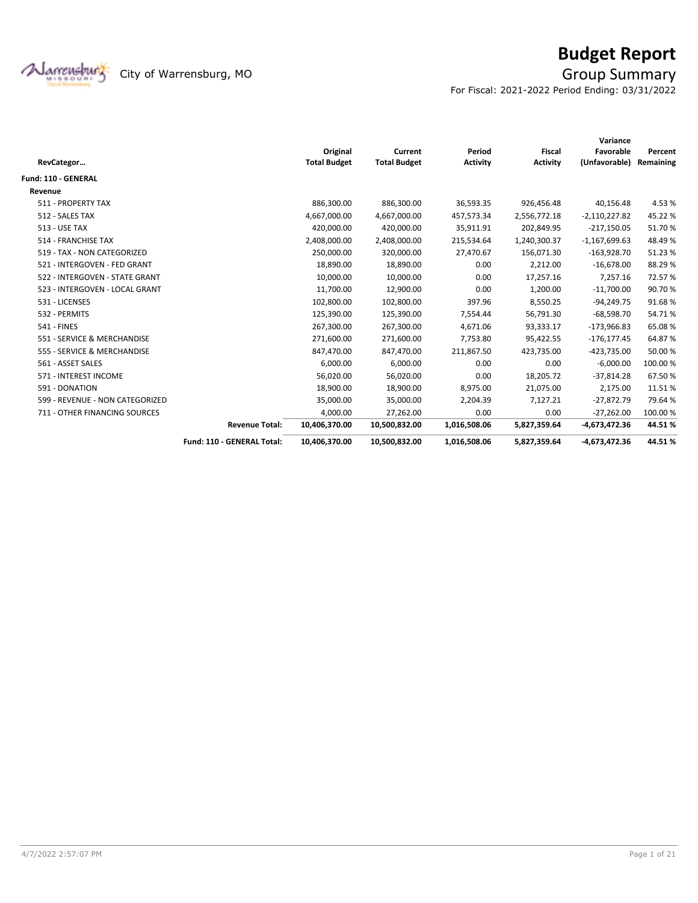

# **Budget Report**

For Fiscal: 2021-2022 Period Ending: 03/31/2022

|                                 |                            |                     |                     |                 |                 | Variance        |           |
|---------------------------------|----------------------------|---------------------|---------------------|-----------------|-----------------|-----------------|-----------|
|                                 |                            | Original            | Current             | Period          | <b>Fiscal</b>   | Favorable       | Percent   |
| RevCategor                      |                            | <b>Total Budget</b> | <b>Total Budget</b> | <b>Activity</b> | <b>Activity</b> | (Unfavorable)   | Remaining |
| <b>Fund: 110 - GENERAL</b>      |                            |                     |                     |                 |                 |                 |           |
| Revenue                         |                            |                     |                     |                 |                 |                 |           |
| 511 - PROPERTY TAX              |                            | 886,300.00          | 886,300.00          | 36,593.35       | 926,456.48      | 40,156.48       | 4.53%     |
| 512 - SALES TAX                 |                            | 4,667,000.00        | 4,667,000.00        | 457,573.34      | 2,556,772.18    | $-2,110,227.82$ | 45.22%    |
| <b>513 - USE TAX</b>            |                            | 420,000.00          | 420,000.00          | 35,911.91       | 202,849.95      | $-217,150.05$   | 51.70%    |
| 514 - FRANCHISE TAX             |                            | 2,408,000.00        | 2,408,000.00        | 215,534.64      | 1,240,300.37    | $-1,167,699.63$ | 48.49%    |
| 519 - TAX - NON CATEGORIZED     |                            | 250,000.00          | 320,000.00          | 27,470.67       | 156,071.30      | $-163,928.70$   | 51.23%    |
| 521 - INTERGOVEN - FED GRANT    |                            | 18,890.00           | 18,890.00           | 0.00            | 2,212.00        | $-16,678.00$    | 88.29%    |
| 522 - INTERGOVEN - STATE GRANT  |                            | 10,000.00           | 10,000.00           | 0.00            | 17,257.16       | 7,257.16        | 72.57%    |
| 523 - INTERGOVEN - LOCAL GRANT  |                            | 11,700.00           | 12,900.00           | 0.00            | 1,200.00        | $-11,700.00$    | 90.70%    |
| 531 - LICENSES                  |                            | 102,800.00          | 102,800.00          | 397.96          | 8,550.25        | -94,249.75      | 91.68%    |
| 532 - PERMITS                   |                            | 125,390.00          | 125,390.00          | 7,554.44        | 56,791.30       | $-68,598.70$    | 54.71%    |
| <b>541 - FINES</b>              |                            | 267,300.00          | 267,300.00          | 4,671.06        | 93,333.17       | $-173,966.83$   | 65.08%    |
| 551 - SERVICE & MERCHANDISE     |                            | 271,600.00          | 271,600.00          | 7,753.80        | 95,422.55       | $-176, 177.45$  | 64.87%    |
| 555 - SERVICE & MERCHANDISE     |                            | 847,470.00          | 847,470.00          | 211,867.50      | 423,735.00      | $-423,735.00$   | 50.00 %   |
| 561 - ASSET SALES               |                            | 6,000.00            | 6,000.00            | 0.00            | 0.00            | $-6,000.00$     | 100.00%   |
| 571 - INTEREST INCOME           |                            | 56,020.00           | 56,020.00           | 0.00            | 18,205.72       | $-37,814.28$    | 67.50%    |
| 591 - DONATION                  |                            | 18,900.00           | 18,900.00           | 8,975.00        | 21,075.00       | 2,175.00        | 11.51%    |
| 599 - REVENUE - NON CATEGORIZED |                            | 35,000.00           | 35,000.00           | 2,204.39        | 7,127.21        | $-27,872.79$    | 79.64%    |
| 711 - OTHER FINANCING SOURCES   |                            | 4,000.00            | 27,262.00           | 0.00            | 0.00            | $-27,262.00$    | 100.00%   |
|                                 | <b>Revenue Total:</b>      | 10,406,370.00       | 10,500,832.00       | 1,016,508.06    | 5,827,359.64    | -4,673,472.36   | 44.51%    |
|                                 | Fund: 110 - GENERAL Total: | 10,406,370.00       | 10,500,832.00       | 1,016,508.06    | 5,827,359.64    | -4,673,472.36   | 44.51%    |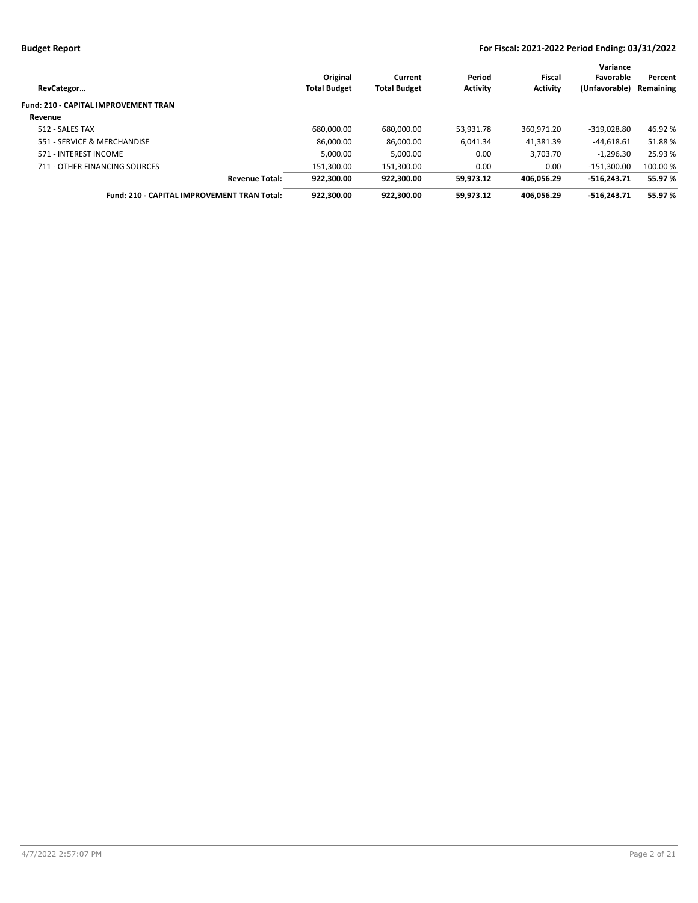| RevCategor                                  | Original<br><b>Total Budget</b> | Current<br><b>Total Budget</b> | Period<br><b>Activity</b> | Fiscal<br><b>Activity</b> | Variance<br>Favorable<br>(Unfavorable) | Percent<br>Remaining |
|---------------------------------------------|---------------------------------|--------------------------------|---------------------------|---------------------------|----------------------------------------|----------------------|
| <b>Fund: 210 - CAPITAL IMPROVEMENT TRAN</b> |                                 |                                |                           |                           |                                        |                      |
| Revenue                                     |                                 |                                |                           |                           |                                        |                      |
| 512 - SALES TAX                             | 680.000.00                      | 680,000.00                     | 53.931.78                 | 360.971.20                | $-319.028.80$                          | 46.92 %              |
| 551 - SERVICE & MERCHANDISE                 | 86.000.00                       | 86.000.00                      | 6.041.34                  | 41.381.39                 | $-44.618.61$                           | 51.88%               |
| 571 - INTEREST INCOME                       | 5.000.00                        | 5,000.00                       | 0.00                      | 3.703.70                  | $-1.296.30$                            | 25.93 %              |
| 711 - OTHER FINANCING SOURCES               | 151.300.00                      | 151.300.00                     | 0.00                      | 0.00                      | $-151.300.00$                          | 100.00 %             |
| <b>Revenue Total:</b>                       | 922.300.00                      | 922.300.00                     | 59.973.12                 | 406.056.29                | $-516.243.71$                          | 55.97 %              |
| Fund: 210 - CAPITAL IMPROVEMENT TRAN Total: | 922.300.00                      | 922.300.00                     | 59.973.12                 | 406.056.29                | $-516.243.71$                          | 55.97 %              |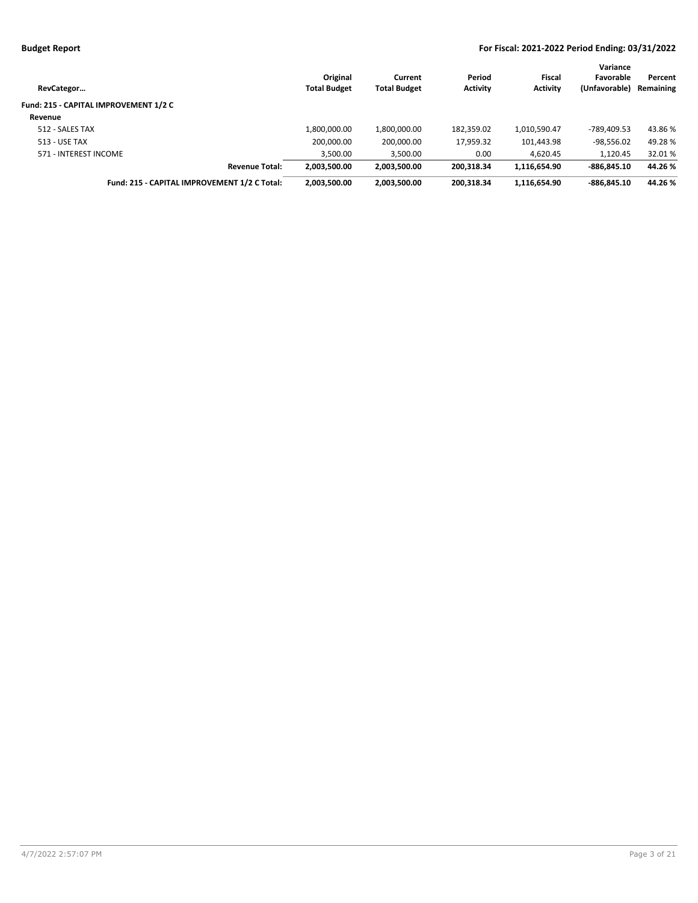| RevCategor                                   | Original<br><b>Total Budget</b> | Current<br><b>Total Budget</b> | Period<br><b>Activity</b> | Fiscal<br><b>Activity</b> | Variance<br>Favorable<br>(Unfavorable) | Percent<br>Remaining |
|----------------------------------------------|---------------------------------|--------------------------------|---------------------------|---------------------------|----------------------------------------|----------------------|
| Fund: 215 - CAPITAL IMPROVEMENT 1/2 C        |                                 |                                |                           |                           |                                        |                      |
| Revenue                                      |                                 |                                |                           |                           |                                        |                      |
| 512 - SALES TAX                              | 1,800,000.00                    | 1,800,000.00                   | 182,359.02                | 1,010,590.47              | -789.409.53                            | 43.86 %              |
| 513 - USE TAX                                | 200,000.00                      | 200,000.00                     | 17,959.32                 | 101,443.98                | $-98,556.02$                           | 49.28%               |
| 571 - INTEREST INCOME                        | 3,500.00                        | 3,500.00                       | 0.00                      | 4,620.45                  | 1,120.45                               | 32.01 %              |
| <b>Revenue Total:</b>                        | 2,003,500.00                    | 2.003.500.00                   | 200.318.34                | 1.116.654.90              | $-886.845.10$                          | 44.26 %              |
| Fund: 215 - CAPITAL IMPROVEMENT 1/2 C Total: | 2,003,500.00                    | 2.003.500.00                   | 200.318.34                | 1,116,654.90              | $-886.845.10$                          | 44.26 %              |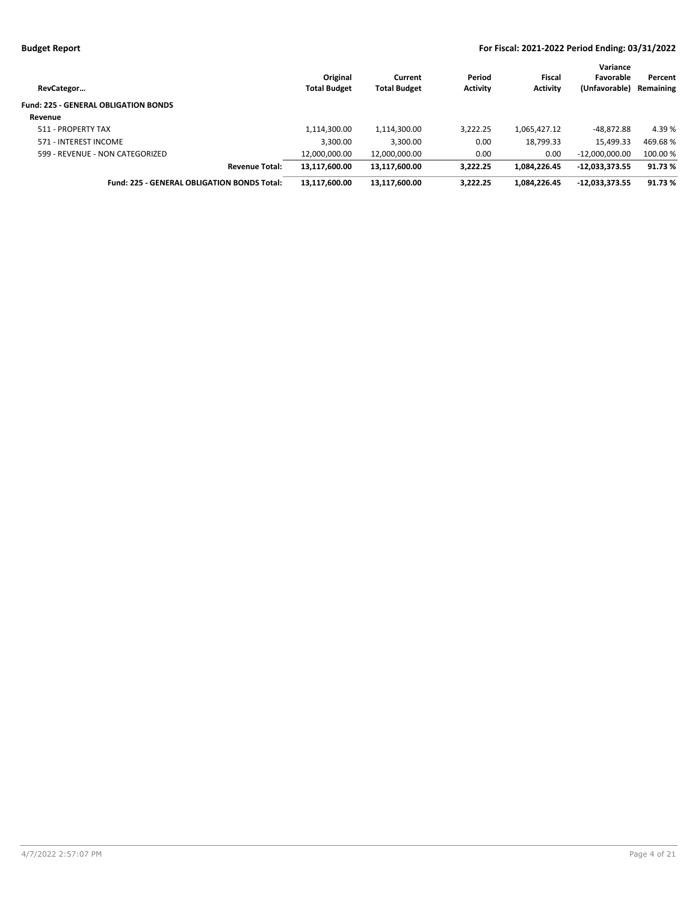| RevCategor                                  | Original<br><b>Total Budget</b> | Current<br><b>Total Budget</b> | Period<br><b>Activity</b> | Fiscal<br><b>Activity</b> | Variance<br>Favorable<br>(Unfavorable) | Percent<br>Remaining |
|---------------------------------------------|---------------------------------|--------------------------------|---------------------------|---------------------------|----------------------------------------|----------------------|
| <b>Fund: 225 - GENERAL OBLIGATION BONDS</b> |                                 |                                |                           |                           |                                        |                      |
| Revenue                                     |                                 |                                |                           |                           |                                        |                      |
| 511 - PROPERTY TAX                          | 1,114,300.00                    | 1,114,300.00                   | 3,222.25                  | 1,065,427.12              | $-48.872.88$                           | 4.39 %               |
| 571 - INTEREST INCOME                       | 3,300.00                        | 3,300.00                       | 0.00                      | 18,799.33                 | 15,499.33                              | 469.68%              |
| 599 - REVENUE - NON CATEGORIZED             | 12,000,000.00                   | 12,000,000.00                  | 0.00                      | 0.00                      | $-12.000.000.00$                       | 100.00 %             |
| <b>Revenue Total:</b>                       | 13,117,600.00                   | 13,117,600.00                  | 3.222.25                  | 1.084.226.45              | $-12,033,373.55$                       | 91.73%               |
| Fund: 225 - GENERAL OBLIGATION BONDS Total: | 13,117,600.00                   | 13,117,600.00                  | 3,222.25                  | 1,084,226.45              | $-12,033,373.55$                       | 91.73%               |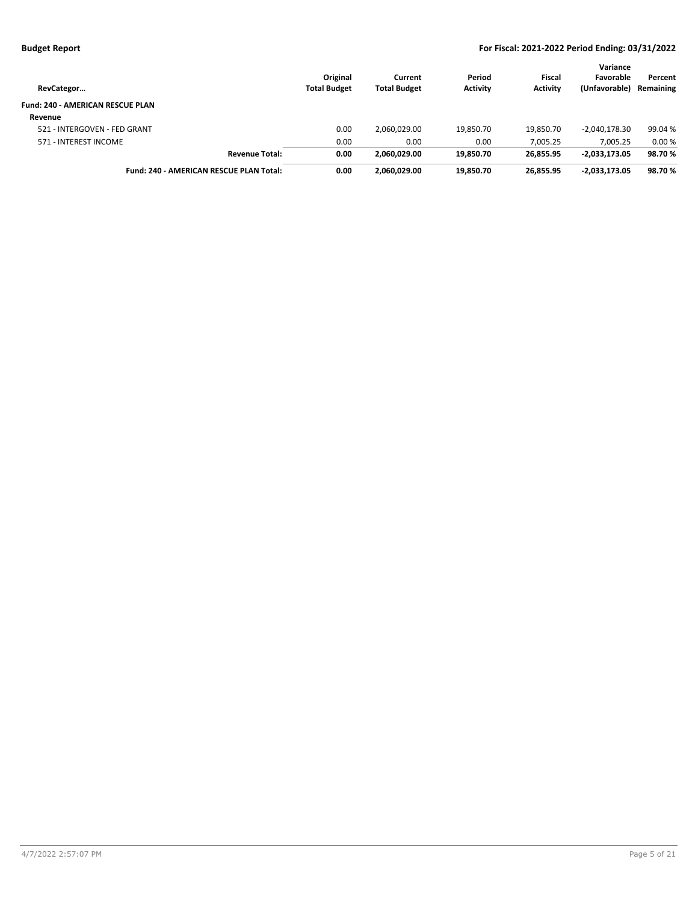| RevCategor                              | Original<br><b>Total Budget</b> | Current<br><b>Total Budget</b> | Period<br><b>Activity</b> | Fiscal<br><b>Activity</b> | Variance<br>Favorable<br>(Unfavorable) | Percent<br>Remaining |
|-----------------------------------------|---------------------------------|--------------------------------|---------------------------|---------------------------|----------------------------------------|----------------------|
| <b>Fund: 240 - AMERICAN RESCUE PLAN</b> |                                 |                                |                           |                           |                                        |                      |
| Revenue                                 |                                 |                                |                           |                           |                                        |                      |
| 521 - INTERGOVEN - FED GRANT            | 0.00                            | 2,060,029.00                   | 19,850.70                 | 19,850.70                 | -2,040,178.30                          | 99.04 %              |
| 571 - INTEREST INCOME                   | 0.00                            | 0.00                           | 0.00                      | 7.005.25                  | 7.005.25                               | 0.00%                |
| <b>Revenue Total:</b>                   | 0.00                            | 2.060.029.00                   | 19,850.70                 | 26.855.95                 | $-2,033,173.05$                        | 98.70%               |
| Fund: 240 - AMERICAN RESCUE PLAN Total: | 0.00                            | 2.060.029.00                   | 19.850.70                 | 26.855.95                 | $-2.033.173.05$                        | 98.70%               |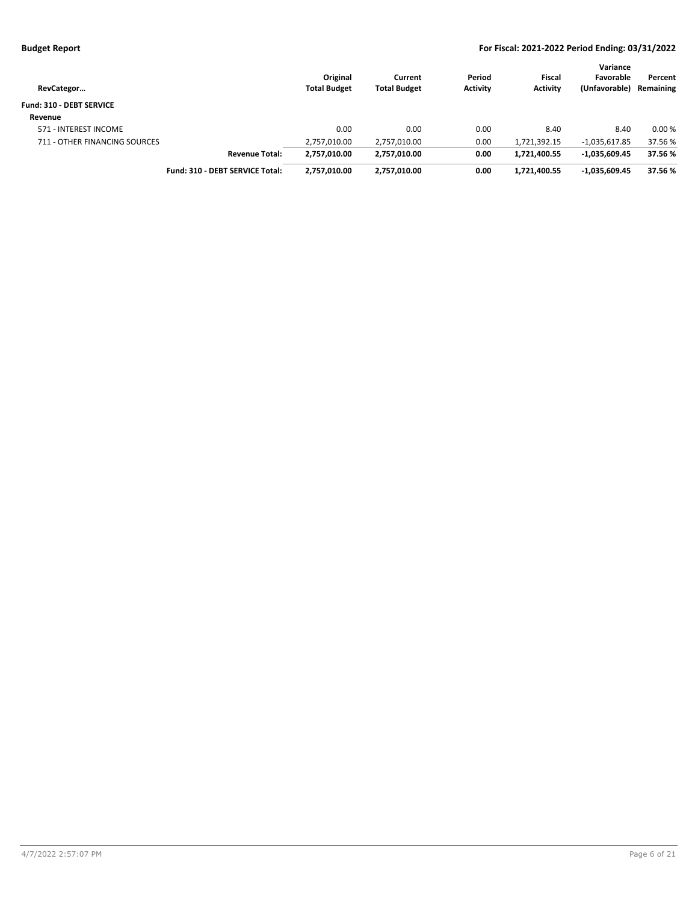| RevCategor                    |                                 | Original<br><b>Total Budget</b> | Current<br><b>Total Budget</b> | Period<br><b>Activity</b> | <b>Fiscal</b><br><b>Activity</b> | Variance<br>Favorable<br>(Unfavorable) | Percent<br>Remaining |
|-------------------------------|---------------------------------|---------------------------------|--------------------------------|---------------------------|----------------------------------|----------------------------------------|----------------------|
| Fund: 310 - DEBT SERVICE      |                                 |                                 |                                |                           |                                  |                                        |                      |
| Revenue                       |                                 |                                 |                                |                           |                                  |                                        |                      |
| 571 - INTEREST INCOME         |                                 | 0.00                            | 0.00                           | 0.00                      | 8.40                             | 8.40                                   | 0.00%                |
| 711 - OTHER FINANCING SOURCES |                                 | 2,757,010.00                    | 2,757,010.00                   | 0.00                      | 1,721,392.15                     | $-1,035,617.85$                        | 37.56 %              |
|                               | <b>Revenue Total:</b>           | 2,757,010.00                    | 2,757,010.00                   | 0.00                      | 1,721,400.55                     | $-1,035,609.45$                        | 37.56 %              |
|                               | Fund: 310 - DEBT SERVICE Total: | 2,757,010.00                    | 2,757,010.00                   | 0.00                      | 1.721.400.55                     | $-1,035,609.45$                        | 37.56 %              |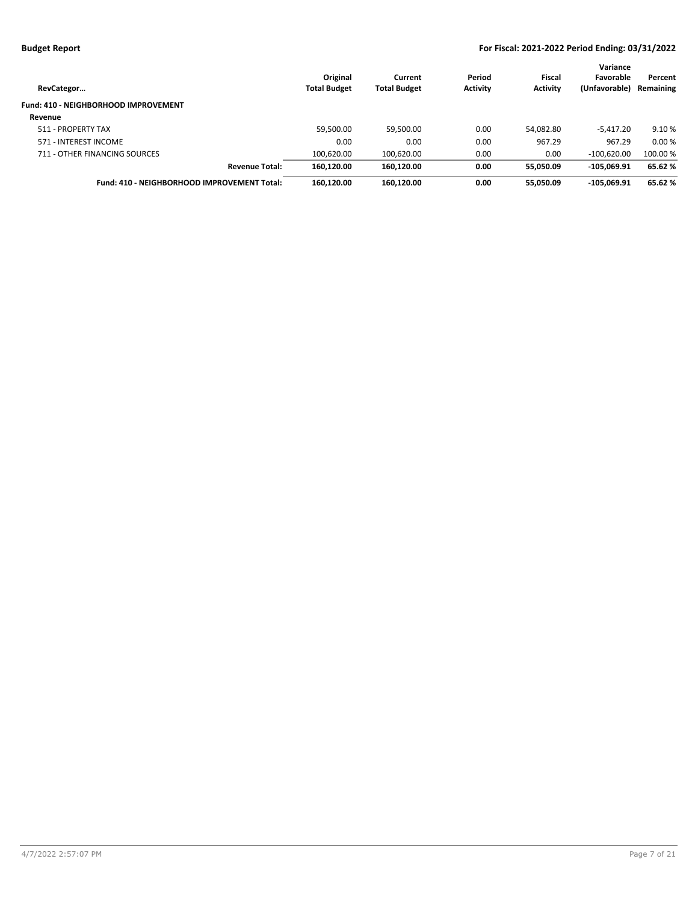| RevCategor                                  | Original<br><b>Total Budget</b> | Current<br><b>Total Budget</b> | Period<br><b>Activity</b> | Fiscal<br><b>Activity</b> | Variance<br>Favorable<br>(Unfavorable) | Percent<br>Remaining |
|---------------------------------------------|---------------------------------|--------------------------------|---------------------------|---------------------------|----------------------------------------|----------------------|
| Fund: 410 - NEIGHBORHOOD IMPROVEMENT        |                                 |                                |                           |                           |                                        |                      |
| Revenue                                     |                                 |                                |                           |                           |                                        |                      |
| 511 - PROPERTY TAX                          | 59,500.00                       | 59,500.00                      | 0.00                      | 54,082.80                 | $-5,417.20$                            | 9.10 %               |
| 571 - INTEREST INCOME                       | 0.00                            | 0.00                           | 0.00                      | 967.29                    | 967.29                                 | 0.00%                |
| 711 - OTHER FINANCING SOURCES               | 100,620.00                      | 100,620.00                     | 0.00                      | 0.00                      | $-100,620.00$                          | 100.00 %             |
| <b>Revenue Total:</b>                       | 160.120.00                      | 160.120.00                     | 0.00                      | 55,050.09                 | $-105.069.91$                          | 65.62%               |
| Fund: 410 - NEIGHBORHOOD IMPROVEMENT Total: | 160,120.00                      | 160,120.00                     | 0.00                      | 55,050.09                 | $-105.069.91$                          | 65.62%               |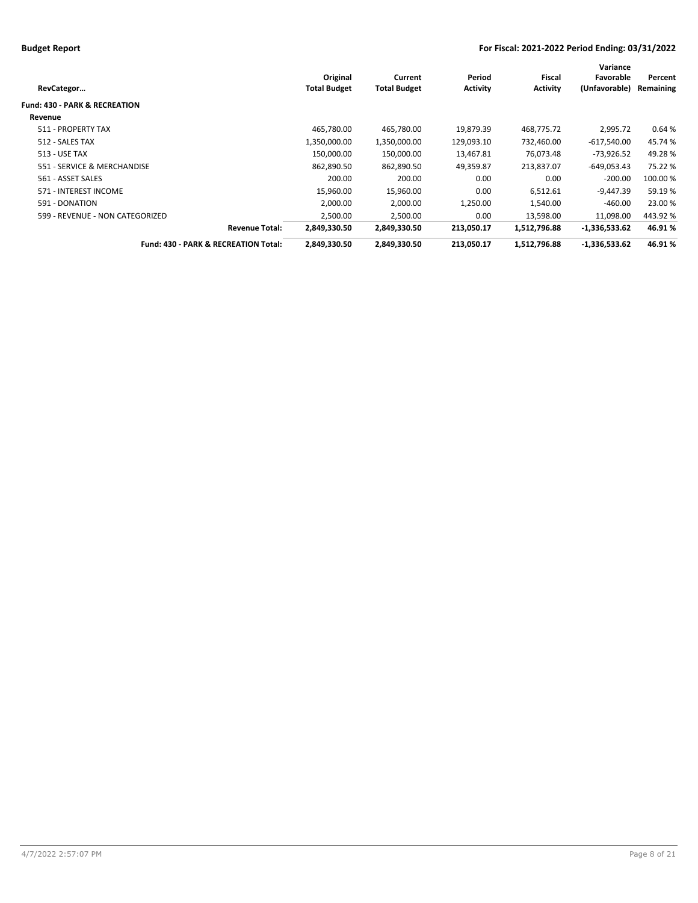|                                          |                     |                     |                 |                 | Variance        |           |
|------------------------------------------|---------------------|---------------------|-----------------|-----------------|-----------------|-----------|
|                                          | Original            | Current             | Period          | Fiscal          | Favorable       | Percent   |
| RevCategor                               | <b>Total Budget</b> | <b>Total Budget</b> | <b>Activity</b> | <b>Activity</b> | (Unfavorable)   | Remaining |
| <b>Fund: 430 - PARK &amp; RECREATION</b> |                     |                     |                 |                 |                 |           |
| Revenue                                  |                     |                     |                 |                 |                 |           |
| 511 - PROPERTY TAX                       | 465,780.00          | 465,780.00          | 19,879.39       | 468,775.72      | 2,995.72        | 0.64%     |
| 512 - SALES TAX                          | 1,350,000.00        | 1,350,000.00        | 129,093.10      | 732,460.00      | $-617,540.00$   | 45.74 %   |
| <b>513 - USE TAX</b>                     | 150,000.00          | 150,000.00          | 13,467.81       | 76.073.48       | $-73,926.52$    | 49.28%    |
| 551 - SERVICE & MERCHANDISE              | 862,890.50          | 862,890.50          | 49,359.87       | 213,837.07      | $-649,053.43$   | 75.22 %   |
| 561 - ASSET SALES                        | 200.00              | 200.00              | 0.00            | 0.00            | $-200.00$       | 100.00 %  |
| 571 - INTEREST INCOME                    | 15,960.00           | 15,960.00           | 0.00            | 6,512.61        | $-9,447.39$     | 59.19%    |
| 591 - DONATION                           | 2,000.00            | 2,000.00            | 1,250.00        | 1,540.00        | $-460.00$       | 23.00 %   |
| 599 - REVENUE - NON CATEGORIZED          | 2,500.00            | 2,500.00            | 0.00            | 13,598.00       | 11,098.00       | 443.92%   |
| <b>Revenue Total:</b>                    | 2,849,330.50        | 2,849,330.50        | 213,050.17      | 1,512,796.88    | -1,336,533.62   | 46.91%    |
| Fund: 430 - PARK & RECREATION Total:     | 2,849,330.50        | 2,849,330.50        | 213,050.17      | 1,512,796.88    | $-1,336,533.62$ | 46.91%    |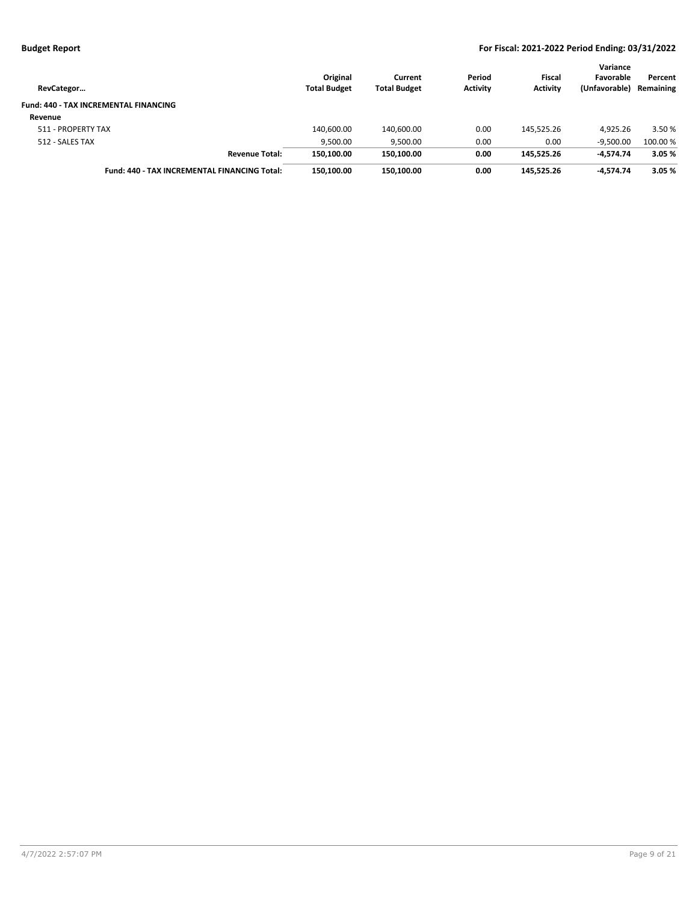| RevCategor                                          | Original<br><b>Total Budget</b> | Current<br><b>Total Budget</b> | Period<br><b>Activity</b> | Fiscal<br><b>Activity</b> | Variance<br>Favorable<br>(Unfavorable) | Percent<br>Remaining |
|-----------------------------------------------------|---------------------------------|--------------------------------|---------------------------|---------------------------|----------------------------------------|----------------------|
| <b>Fund: 440 - TAX INCREMENTAL FINANCING</b>        |                                 |                                |                           |                           |                                        |                      |
| Revenue                                             |                                 |                                |                           |                           |                                        |                      |
| 511 - PROPERTY TAX                                  | 140,600.00                      | 140,600.00                     | 0.00                      | 145.525.26                | 4.925.26                               | 3.50 %               |
| 512 - SALES TAX                                     | 9,500.00                        | 9,500.00                       | 0.00                      | 0.00                      | $-9.500.00$                            | 100.00 %             |
| <b>Revenue Total:</b>                               | 150.100.00                      | 150,100.00                     | 0.00                      | 145.525.26                | $-4.574.74$                            | 3.05%                |
| <b>Fund: 440 - TAX INCREMENTAL FINANCING Total:</b> | 150.100.00                      | 150.100.00                     | 0.00                      | 145.525.26                | -4.574.74                              | 3.05%                |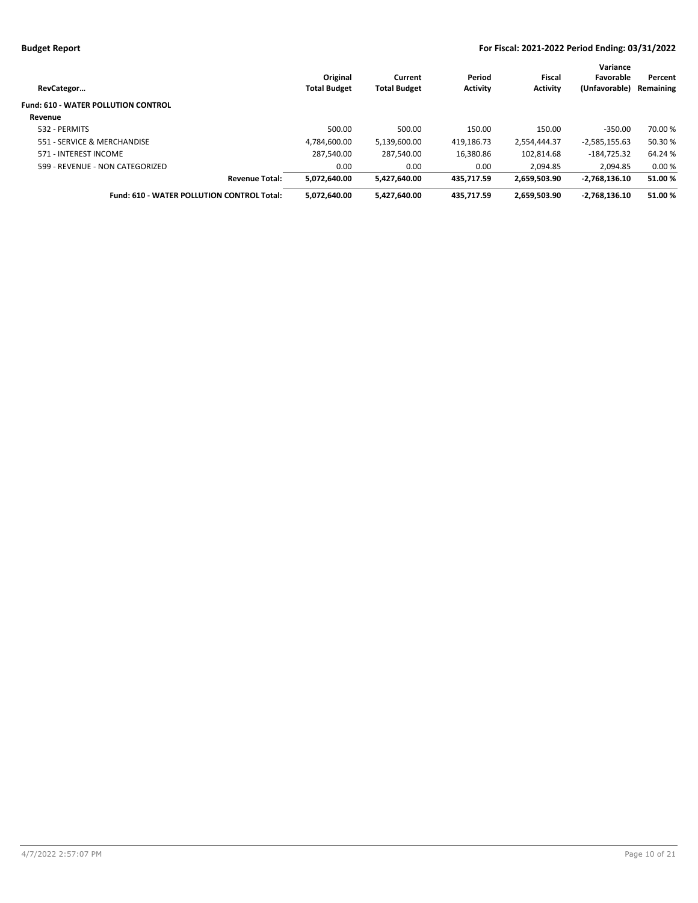| RevCategor                                        | Original<br><b>Total Budget</b> | Current<br><b>Total Budget</b> | Period<br><b>Activity</b> | Fiscal<br><b>Activity</b> | Variance<br>Favorable<br>(Unfavorable) | Percent<br>Remaining |
|---------------------------------------------------|---------------------------------|--------------------------------|---------------------------|---------------------------|----------------------------------------|----------------------|
| <b>Fund: 610 - WATER POLLUTION CONTROL</b>        |                                 |                                |                           |                           |                                        |                      |
| Revenue                                           |                                 |                                |                           |                           |                                        |                      |
| 532 - PERMITS                                     | 500.00                          | 500.00                         | 150.00                    | 150.00                    | $-350.00$                              | 70.00 %              |
| 551 - SERVICE & MERCHANDISE                       | 4.784.600.00                    | 5,139,600.00                   | 419,186.73                | 2,554,444.37              | $-2,585,155.63$                        | 50.30 %              |
| 571 - INTEREST INCOME                             | 287.540.00                      | 287.540.00                     | 16.380.86                 | 102.814.68                | $-184.725.32$                          | 64.24 %              |
| 599 - REVENUE - NON CATEGORIZED                   | 0.00                            | 0.00                           | 0.00                      | 2.094.85                  | 2.094.85                               | 0.00%                |
| <b>Revenue Total:</b>                             | 5,072,640.00                    | 5,427,640.00                   | 435.717.59                | 2,659,503.90              | $-2.768.136.10$                        | 51.00%               |
| <b>Fund: 610 - WATER POLLUTION CONTROL Total:</b> | 5,072,640.00                    | 5,427,640.00                   | 435.717.59                | 2,659,503.90              | $-2,768,136.10$                        | 51.00%               |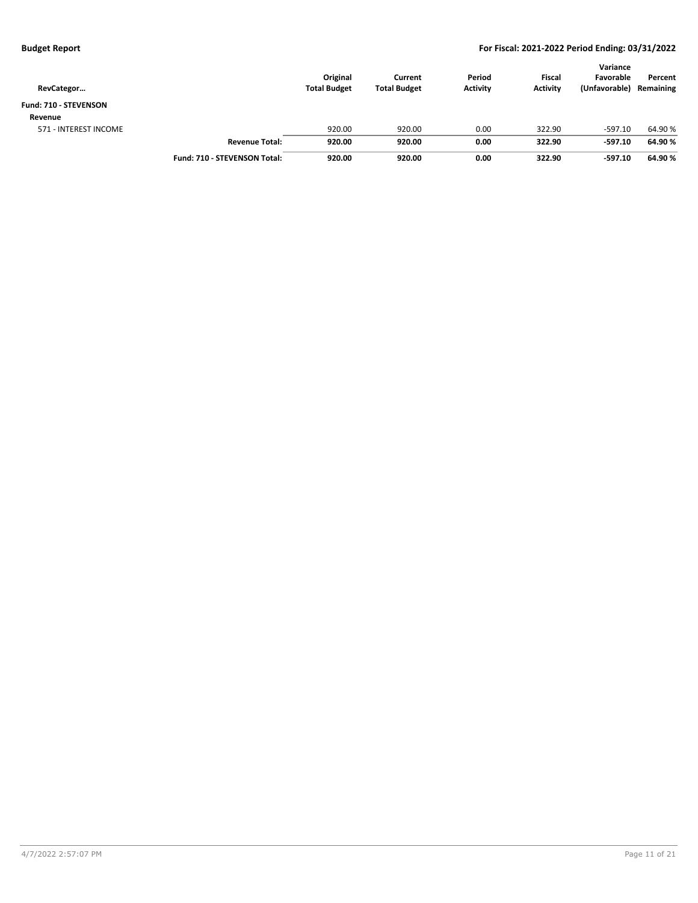| RevCategor            |                              | Original<br><b>Total Budget</b> | Current<br><b>Total Budget</b> | Period<br><b>Activity</b> | <b>Fiscal</b><br><b>Activity</b> | Variance<br>Favorable<br>(Unfavorable) | Percent<br>Remaining |
|-----------------------|------------------------------|---------------------------------|--------------------------------|---------------------------|----------------------------------|----------------------------------------|----------------------|
| Fund: 710 - STEVENSON |                              |                                 |                                |                           |                                  |                                        |                      |
| Revenue               |                              |                                 |                                |                           |                                  |                                        |                      |
| 571 - INTEREST INCOME |                              | 920.00                          | 920.00                         | 0.00                      | 322.90                           | $-597.10$                              | 64.90%               |
|                       | <b>Revenue Total:</b>        | 920.00                          | 920.00                         | 0.00                      | 322.90                           | $-597.10$                              | 64.90%               |
|                       | Fund: 710 - STEVENSON Total: | 920.00                          | 920.00                         | 0.00                      | 322.90                           | $-597.10$                              | 64.90%               |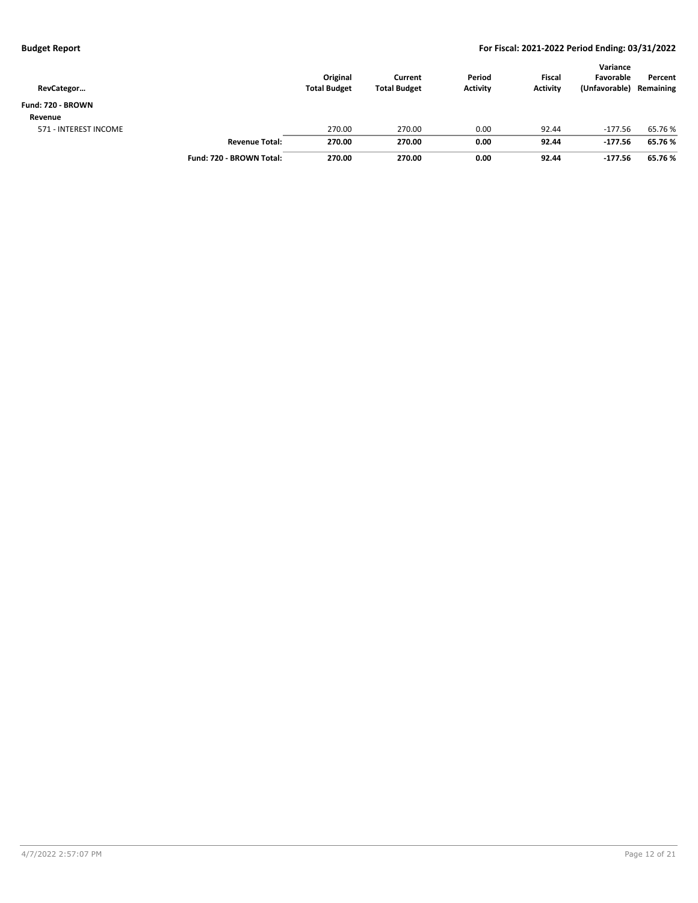| RevCategor            |                          | Original<br><b>Total Budget</b> | Current<br><b>Total Budget</b> | Period<br><b>Activity</b> | <b>Fiscal</b><br><b>Activity</b> | Variance<br>Favorable<br>(Unfavorable) | Percent<br>Remaining |
|-----------------------|--------------------------|---------------------------------|--------------------------------|---------------------------|----------------------------------|----------------------------------------|----------------------|
| Fund: 720 - BROWN     |                          |                                 |                                |                           |                                  |                                        |                      |
| Revenue               |                          |                                 |                                |                           |                                  |                                        |                      |
| 571 - INTEREST INCOME |                          | 270.00                          | 270.00                         | 0.00                      | 92.44                            | $-177.56$                              | 65.76 %              |
|                       | <b>Revenue Total:</b>    | 270.00                          | 270.00                         | 0.00                      | 92.44                            | $-177.56$                              | 65.76%               |
|                       | Fund: 720 - BROWN Total: | 270.00                          | 270.00                         | 0.00                      | 92.44                            | $-177.56$                              | 65.76%               |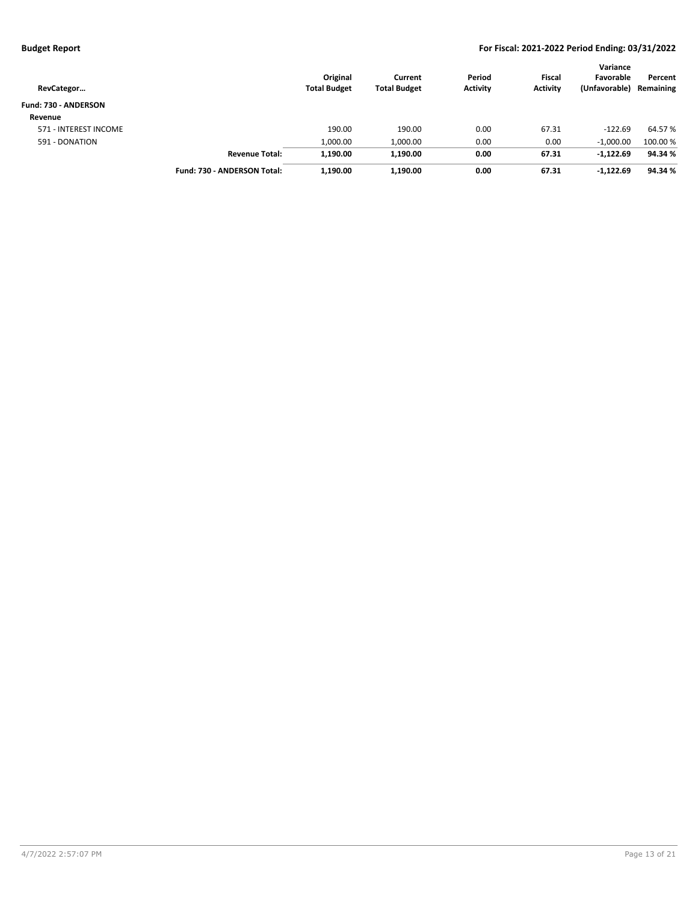| RevCategor            |                             | Original<br><b>Total Budget</b> | Current<br><b>Total Budget</b> | Period<br><b>Activity</b> | <b>Fiscal</b><br><b>Activity</b> | Variance<br>Favorable<br>(Unfavorable) | Percent<br>Remaining |
|-----------------------|-----------------------------|---------------------------------|--------------------------------|---------------------------|----------------------------------|----------------------------------------|----------------------|
| Fund: 730 - ANDERSON  |                             |                                 |                                |                           |                                  |                                        |                      |
| Revenue               |                             |                                 |                                |                           |                                  |                                        |                      |
| 571 - INTEREST INCOME |                             | 190.00                          | 190.00                         | 0.00                      | 67.31                            | $-122.69$                              | 64.57 %              |
| 591 - DONATION        |                             | 1,000.00                        | 1,000.00                       | 0.00                      | 0.00                             | $-1.000.00$                            | 100.00 %             |
|                       | <b>Revenue Total:</b>       | 1,190.00                        | 1,190.00                       | 0.00                      | 67.31                            | $-1,122.69$                            | 94.34 %              |
|                       | Fund: 730 - ANDERSON Total: | 1,190.00                        | 1,190.00                       | 0.00                      | 67.31                            | $-1,122.69$                            | 94.34 %              |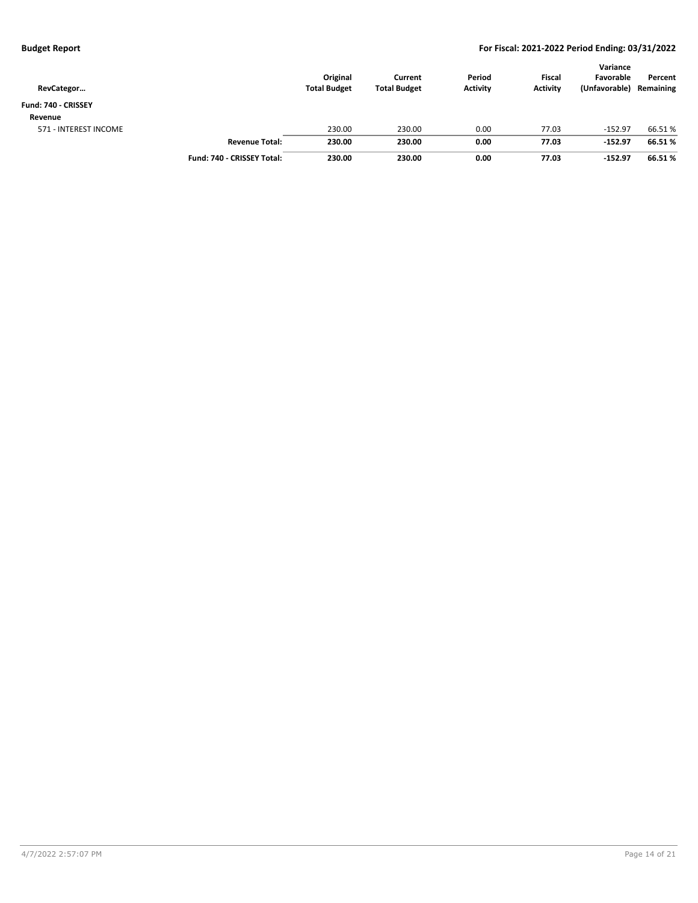| RevCategor            |                            | Original<br><b>Total Budget</b> | Current<br><b>Total Budget</b> | Period<br><b>Activity</b> | <b>Fiscal</b><br><b>Activity</b> | Variance<br>Favorable<br>(Unfavorable) | Percent<br>Remaining |
|-----------------------|----------------------------|---------------------------------|--------------------------------|---------------------------|----------------------------------|----------------------------------------|----------------------|
| Fund: 740 - CRISSEY   |                            |                                 |                                |                           |                                  |                                        |                      |
| Revenue               |                            |                                 |                                |                           |                                  |                                        |                      |
| 571 - INTEREST INCOME |                            | 230.00                          | 230.00                         | 0.00                      | 77.03                            | $-152.97$                              | 66.51%               |
|                       | <b>Revenue Total:</b>      | 230.00                          | 230.00                         | 0.00                      | 77.03                            | $-152.97$                              | 66.51%               |
|                       | Fund: 740 - CRISSEY Total: | 230.00                          | 230.00                         | 0.00                      | 77.03                            | $-152.97$                              | 66.51%               |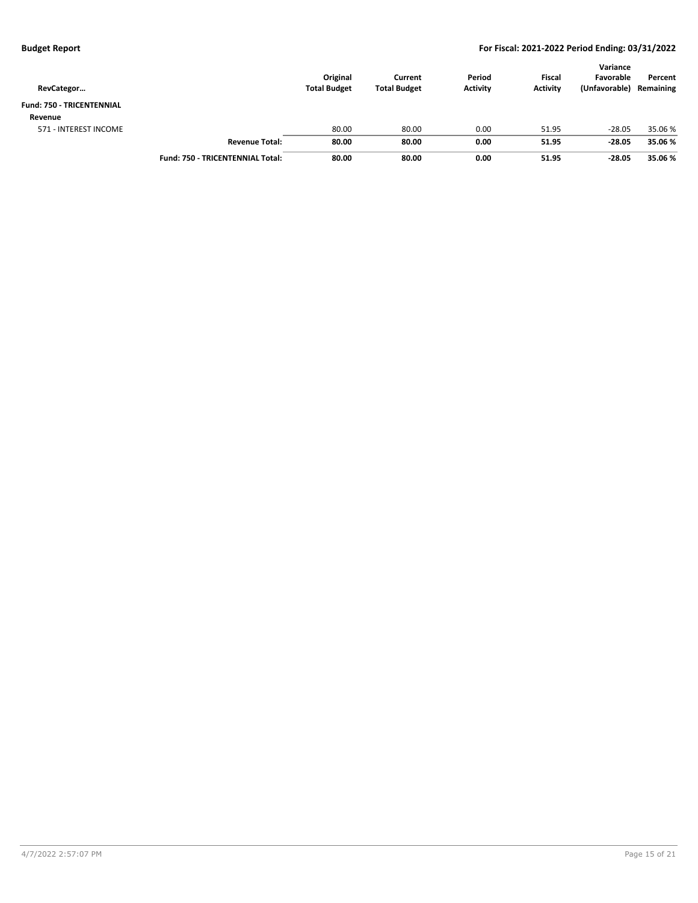| RevCategor                       |                                         | Original<br><b>Total Budget</b> | Current<br><b>Total Budget</b> | Period<br><b>Activity</b> | <b>Fiscal</b><br><b>Activity</b> | Variance<br>Favorable<br>(Unfavorable) | Percent<br>Remaining |
|----------------------------------|-----------------------------------------|---------------------------------|--------------------------------|---------------------------|----------------------------------|----------------------------------------|----------------------|
| <b>Fund: 750 - TRICENTENNIAL</b> |                                         |                                 |                                |                           |                                  |                                        |                      |
| Revenue                          |                                         |                                 |                                |                           |                                  |                                        |                      |
| 571 - INTEREST INCOME            |                                         | 80.00                           | 80.00                          | 0.00                      | 51.95                            | $-28.05$                               | 35.06 %              |
|                                  | <b>Revenue Total:</b>                   | 80.00                           | 80.00                          | 0.00                      | 51.95                            | $-28.05$                               | 35.06 %              |
|                                  | <b>Fund: 750 - TRICENTENNIAL Total:</b> | 80.00                           | 80.00                          | 0.00                      | 51.95                            | $-28.05$                               | 35.06 %              |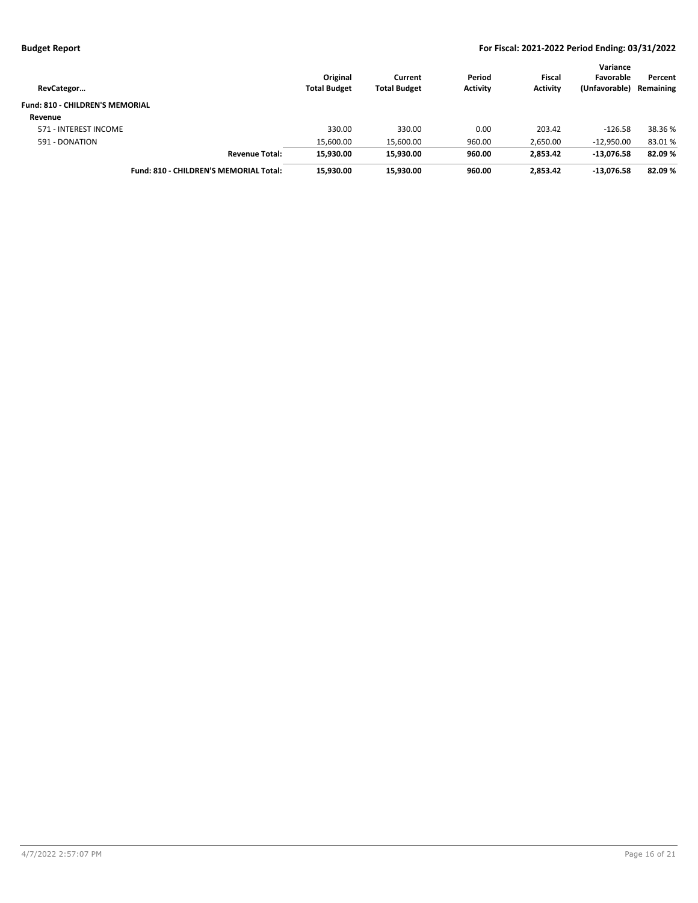| RevCategor                             |                                        | Original<br><b>Total Budget</b> | Current<br><b>Total Budget</b> | Period<br><b>Activity</b> | <b>Fiscal</b><br><b>Activity</b> | Variance<br>Favorable<br>(Unfavorable) | Percent<br>Remaining |
|----------------------------------------|----------------------------------------|---------------------------------|--------------------------------|---------------------------|----------------------------------|----------------------------------------|----------------------|
| <b>Fund: 810 - CHILDREN'S MEMORIAL</b> |                                        |                                 |                                |                           |                                  |                                        |                      |
| Revenue                                |                                        |                                 |                                |                           |                                  |                                        |                      |
| 571 - INTEREST INCOME                  |                                        | 330.00                          | 330.00                         | 0.00                      | 203.42                           | $-126.58$                              | 38.36 %              |
| 591 - DONATION                         |                                        | 15.600.00                       | 15.600.00                      | 960.00                    | 2,650.00                         | $-12.950.00$                           | 83.01%               |
|                                        | <b>Revenue Total:</b>                  | 15,930.00                       | 15.930.00                      | 960.00                    | 2.853.42                         | $-13.076.58$                           | 82.09%               |
|                                        | Fund: 810 - CHILDREN'S MEMORIAL Total: | 15.930.00                       | 15.930.00                      | 960.00                    | 2.853.42                         | $-13.076.58$                           | 82.09%               |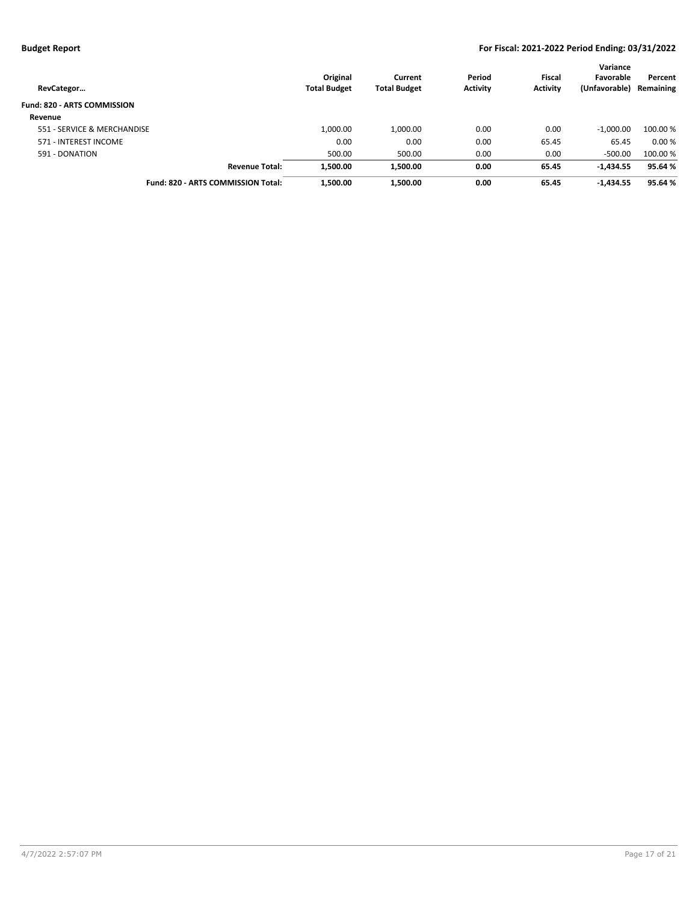| RevCategor                         | Original<br><b>Total Budget</b> | Current<br><b>Total Budget</b> | Period<br><b>Activity</b> | <b>Fiscal</b><br><b>Activity</b> | Variance<br>Favorable<br>(Unfavorable) | Percent<br>Remaining |
|------------------------------------|---------------------------------|--------------------------------|---------------------------|----------------------------------|----------------------------------------|----------------------|
| <b>Fund: 820 - ARTS COMMISSION</b> |                                 |                                |                           |                                  |                                        |                      |
| Revenue                            |                                 |                                |                           |                                  |                                        |                      |
| 551 - SERVICE & MERCHANDISE        | 1,000.00                        | 1,000.00                       | 0.00                      | 0.00                             | $-1.000.00$                            | 100.00 %             |
| 571 - INTEREST INCOME              | 0.00                            | 0.00                           | 0.00                      | 65.45                            | 65.45                                  | 0.00%                |
| 591 - DONATION                     | 500.00                          | 500.00                         | 0.00                      | 0.00                             | $-500.00$                              | 100.00%              |
| <b>Revenue Total:</b>              | 1,500.00                        | 1,500.00                       | 0.00                      | 65.45                            | $-1,434.55$                            | 95.64 %              |
| Fund: 820 - ARTS COMMISSION Total: | 1,500.00                        | 1,500.00                       | 0.00                      | 65.45                            | $-1,434.55$                            | 95.64%               |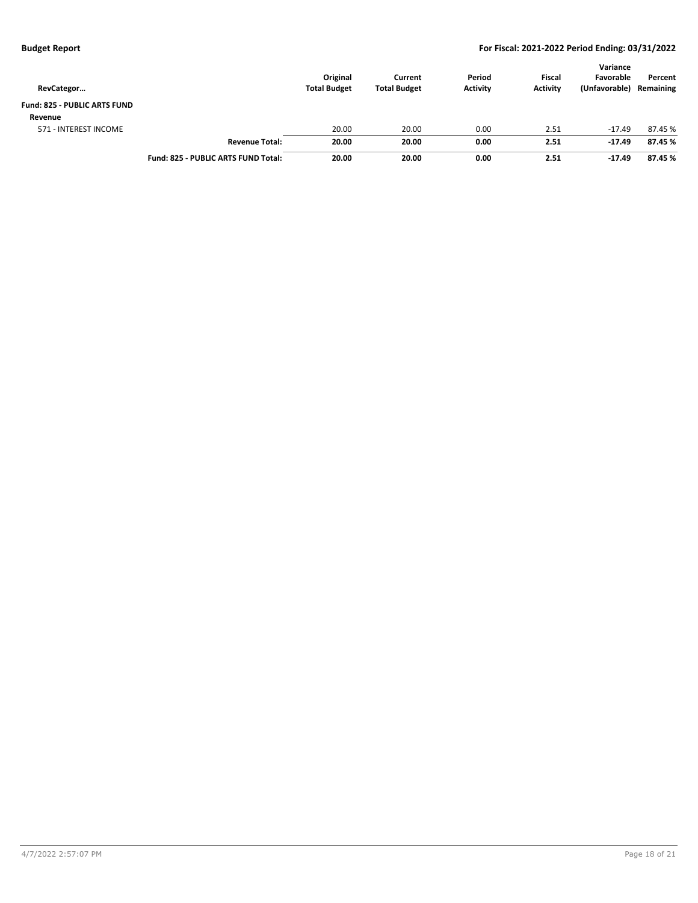| RevCategor                          |                                     | Original<br><b>Total Budget</b> | Current<br><b>Total Budget</b> | Period<br><b>Activity</b> | <b>Fiscal</b><br><b>Activity</b> | Variance<br>Favorable<br>(Unfavorable) | Percent<br>Remaining |
|-------------------------------------|-------------------------------------|---------------------------------|--------------------------------|---------------------------|----------------------------------|----------------------------------------|----------------------|
| <b>Fund: 825 - PUBLIC ARTS FUND</b> |                                     |                                 |                                |                           |                                  |                                        |                      |
| Revenue                             |                                     |                                 |                                |                           |                                  |                                        |                      |
| 571 - INTEREST INCOME               |                                     | 20.00                           | 20.00                          | 0.00                      | 2.51                             | $-17.49$                               | 87.45 %              |
|                                     | <b>Revenue Total:</b>               | 20.00                           | 20.00                          | 0.00                      | 2.51                             | $-17.49$                               | 87.45 %              |
|                                     | Fund: 825 - PUBLIC ARTS FUND Total: | 20.00                           | 20.00                          | 0.00                      | 2.51                             | $-17.49$                               | 87.45 %              |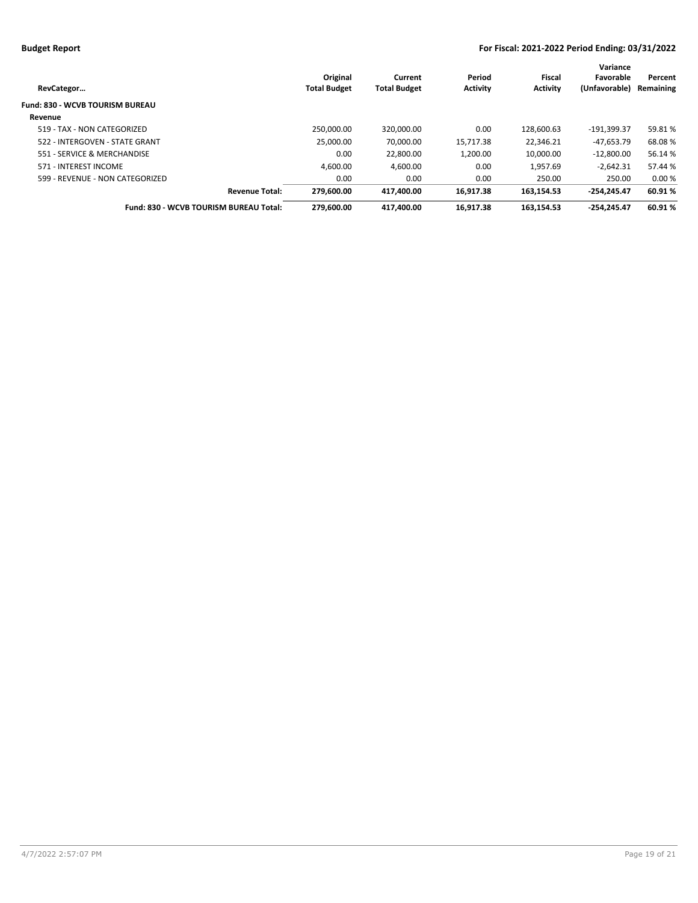|                                        | Original            | Current             | Period          | Fiscal          | Variance<br>Favorable | Percent   |
|----------------------------------------|---------------------|---------------------|-----------------|-----------------|-----------------------|-----------|
| RevCategor                             | <b>Total Budget</b> | <b>Total Budget</b> | <b>Activity</b> | <b>Activity</b> | (Unfavorable)         | Remaining |
| Fund: 830 - WCVB TOURISM BUREAU        |                     |                     |                 |                 |                       |           |
| Revenue                                |                     |                     |                 |                 |                       |           |
| 519 - TAX - NON CATEGORIZED            | 250.000.00          | 320.000.00          | 0.00            | 128.600.63      | -191.399.37           | 59.81%    |
| 522 - INTERGOVEN - STATE GRANT         | 25.000.00           | 70.000.00           | 15,717.38       | 22.346.21       | $-47.653.79$          | 68.08%    |
| 551 - SERVICE & MERCHANDISE            | 0.00                | 22.800.00           | 1.200.00        | 10.000.00       | $-12.800.00$          | 56.14 %   |
| 571 - INTEREST INCOME                  | 4.600.00            | 4.600.00            | 0.00            | 1.957.69        | $-2,642.31$           | 57.44 %   |
| 599 - REVENUE - NON CATEGORIZED        | 0.00                | 0.00                | 0.00            | 250.00          | 250.00                | 0.00%     |
| <b>Revenue Total:</b>                  | 279.600.00          | 417.400.00          | 16.917.38       | 163.154.53      | $-254.245.47$         | 60.91%    |
| Fund: 830 - WCVB TOURISM BUREAU Total: | 279.600.00          | 417.400.00          | 16.917.38       | 163.154.53      | $-254.245.47$         | 60.91%    |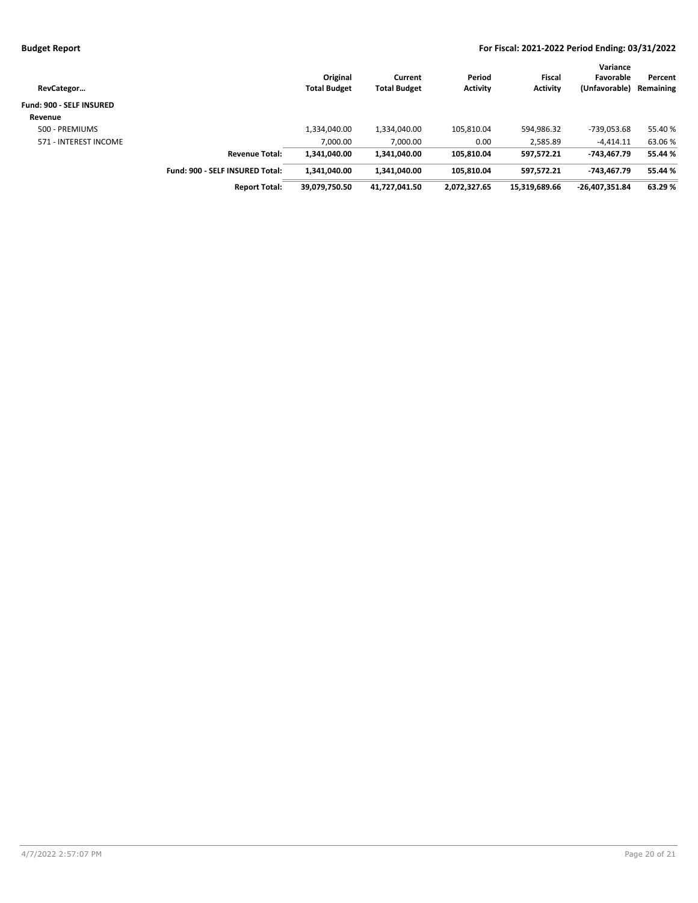| RevCategor               |                                 | Original<br><b>Total Budget</b> | Current<br><b>Total Budget</b> | Period<br><b>Activity</b> | Fiscal<br><b>Activity</b> | Variance<br>Favorable<br>(Unfavorable) | Percent<br>Remaining |
|--------------------------|---------------------------------|---------------------------------|--------------------------------|---------------------------|---------------------------|----------------------------------------|----------------------|
| Fund: 900 - SELF INSURED |                                 |                                 |                                |                           |                           |                                        |                      |
| Revenue                  |                                 |                                 |                                |                           |                           |                                        |                      |
| 500 - PREMIUMS           |                                 | 1,334,040.00                    | 1,334,040.00                   | 105,810.04                | 594,986.32                | -739,053.68                            | 55.40%               |
| 571 - INTEREST INCOME    |                                 | 7,000.00                        | 7,000.00                       | 0.00                      | 2,585.89                  | $-4,414.11$                            | 63.06%               |
|                          | <b>Revenue Total:</b>           | 1,341,040.00                    | 1.341.040.00                   | 105.810.04                | 597.572.21                | -743.467.79                            | 55.44 %              |
|                          | Fund: 900 - SELF INSURED Total: | 1,341,040.00                    | 1,341,040.00                   | 105.810.04                | 597,572.21                | -743.467.79                            | 55.44 %              |
|                          | <b>Report Total:</b>            | 39,079,750.50                   | 41,727,041.50                  | 2,072,327.65              | 15,319,689.66             | $-26,407,351.84$                       | 63.29%               |